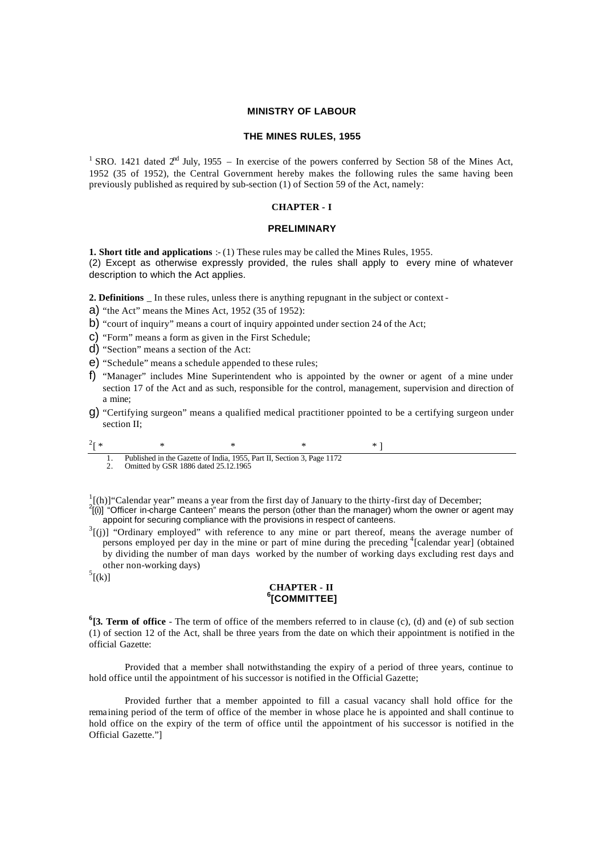#### **MINISTRY OF LABOUR**

#### **THE MINES RULES, 1955**

<sup>1</sup> SRO. 1421 dated  $2<sup>nd</sup>$  July, 1955 – In exercise of the powers conferred by Section 58 of the Mines Act, 1952 (35 of 1952), the Central Government hereby makes the following rules the same having been previously published as required by sub-section (1) of Section 59 of the Act, namely:

#### **CHAPTER - I**

### **PRELIMINARY**

**1. Short title and applications** :- (1) These rules may be called the Mines Rules, 1955. (2) Except as otherwise expressly provided, the rules shall apply to every mine of whatever description to which the Act applies.

**2. Definitions** In these rules, unless there is anything repugnant in the subject or context-

a) "the Act" means the Mines Act, 1952 (35 of 1952):

b) "court of inquiry" means a court of inquiry appointed under section 24 of the Act;

- c) "Form" means a form as given in the First Schedule;
- d) "Section" means a section of the Act:
- e) "Schedule" means a schedule appended to these rules;
- f) "Manager" includes Mine Superintendent who is appointed by the owner or agent of a mine under section 17 of the Act and as such, responsible for the control, management, supervision and direction of a mine;
- g) "Certifying surgeon" means a qualified medical practitioner ppointed to be a certifying surgeon under section II;

2  $\begin{bmatrix} * & * & * & * \end{bmatrix}$  ,  $\begin{bmatrix} * & * & * \end{bmatrix}$ 1. Published in the Gazette of India, 1955, Part II, Section 3, Page 1172

2. Omitted by GSR 1886 dated 25.12.1965

 $\frac{1}{2}$ [(h)] "Calendar year" means a year from the first day of January to the thirty-first day of December;

- $^{2}$ [(i)] "Officer in-charge Canteen" means the person (other than the manager) whom the owner or agent may appoint for securing compliance with the provisions in respect of canteens.
- $3\text{[j]}$  "Ordinary employed" with reference to any mine or part thereof, means the average number of persons employed per day in the mine or part of mine during the preceding  $\frac{4}{1}$  [calendar year] (obtained by dividing the number of man days worked by the number of working days excluding rest days and other non-working days)

 $<sup>5</sup>$ [(k)]</sup>

### **CHAPTER - II 6 [COMMITTEE]**

**6 [3. Term of office** - The term of office of the members referred to in clause (c), (d) and (e) of sub section (1) of section 12 of the Act, shall be three years from the date on which their appointment is notified in the official Gazette:

Provided that a member shall notwithstanding the expiry of a period of three years, continue to hold office until the appointment of his successor is notified in the Official Gazette;

Provided further that a member appointed to fill a casual vacancy shall hold office for the rema ining period of the term of office of the member in whose place he is appointed and shall continue to hold office on the expiry of the term of office until the appointment of his successor is notified in the Official Gazette."]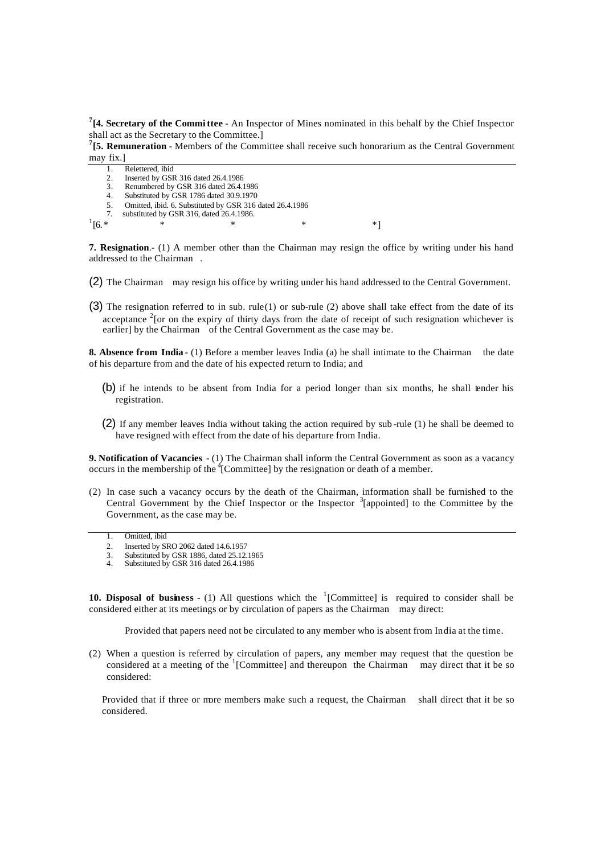**7 [4. Secretary of the Committee** - An Inspector of Mines nominated in this behalf by the Chief Inspector shall act as the Secretary to the Committee.]

**7 [5. Remuneration** - Members of the Committee shall receive such honorarium as the Central Government may fix.]

- 1. Relettered, ibid 2. Inserted by GSR 316 dated 26.4.1986<br>3. Renumbered by GSR 316 dated 26.4.1 3. Renumbered by GSR 316 dated 26.4.1986
- 4. Substituted by GSR 1786 dated 30.9.1970
- 
- 5. Omitted, ibid. 6. Substituted by GSR 316 dated 26.4.1986 7. substituted by GSR 316, dated 26.4.1986.
- $[6.*$  \* \* \* \* \*

 $1/16.*$ 

**7. Resignation**.- (1) A member other than the Chairman may resign the office by writing under his hand addressed to the Chairman .

- (2) The Chairman may resign his office by writing under his hand addressed to the Central Government.
- (3) The resignation referred to in sub. rule(1) or sub-rule (2) above shall take effect from the date of its acceptance  $2$  [or on the expiry of thirty days from the date of receipt of such resignation whichever is earlier] by the Chairman of the Central Government as the case may be.

**8. Absence from India** - (1) Before a member leaves India (a) he shall intimate to the Chairman the date of his departure from and the date of his expected return to India; and

- (b) if he intends to be absent from India for a period longer than six months, he shall tender his registration.
- (2) If any member leaves India without taking the action required by sub -rule (1) he shall be deemed to have resigned with effect from the date of his departure from India.

**9. Notification of Vacancies** - (1) The Chairman shall inform the Central Government as soon as a vacancy occurs in the membership of the  $\rm{^{4}C}$  committee] by the resignation or death of a member.

- (2) In case such a vacancy occurs by the death of the Chairman, information shall be furnished to the Central Government by the Chief Inspector or the Inspector  $\frac{3}{2}$  [appointed] to the Committee by the Government, as the case may be.
	- 1. Omitted, ibid
	- 2. Inserted by SRO 2062 dated 14.6.1957
	- 3. Substituted by GSR 1886, dated 25.12.1965<br>4. Substituted by GSR 316 dated 26.4 1986
	- Substituted by GSR 316 dated 26.4.1986

**10. Disposal of business** - (1) All questions which the  $\frac{1}{2}$  [Committee] is required to consider shall be considered either at its meetings or by circulation of papers as the Chairman may direct:

Provided that papers need not be circulated to any member who is absent from India at the time.

(2) When a question is referred by circulation of papers, any member may request that the question be considered at a meeting of the  $(1)$ <sup>1</sup>[Committee] and thereupon the Chairman may direct that it be so considered:

Provided that if three or more members make such a request, the Chairman shall direct that it be so considered.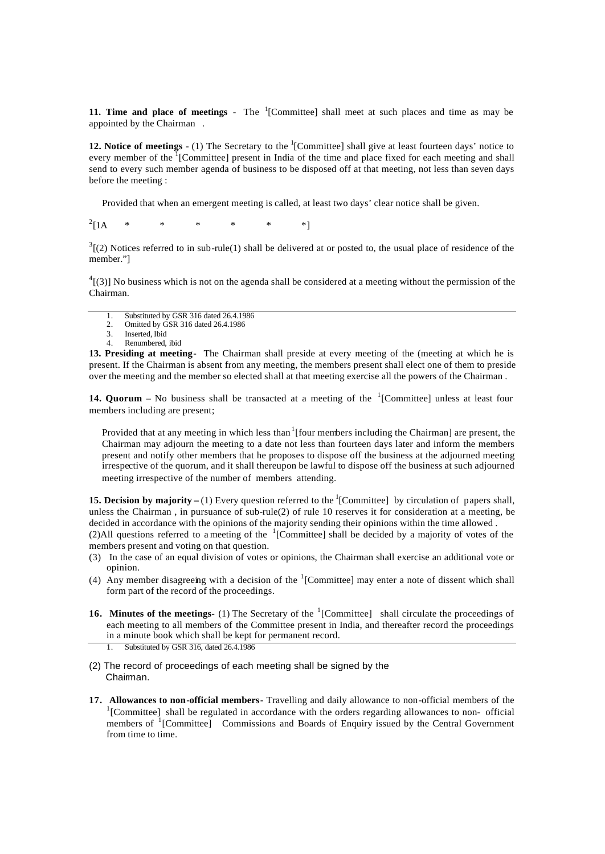**11. Time and place of meetings** - The <sup>1</sup>[Committee] shall meet at such places and time as may be appointed by the Chairman .

**12. Notice of meetings** - (1) The Secretary to the <sup>1</sup>[Committee] shall give at least fourteen days' notice to every member of the <sup>1</sup>[Committee] present in India of the time and place fixed for each meeting and shall send to every such member agenda of business to be disposed off at that meeting, not less than seven days before the meeting :

Provided that when an emergent meeting is called, at least two days' clear notice shall be given.

 $2$ [1A  $[1A \quad * \quad * \quad * \quad * \quad * \quad *]$ 

 $3(2)$  Notices referred to in sub-rule(1) shall be delivered at or posted to, the usual place of residence of the member."]

 $^{4}$ [(3)] No business which is not on the agenda shall be considered at a meeting without the permission of the Chairman.

- 1. Substituted by GSR 316 dated 26.4.1986<br>2. Omitted by GSR 316 dated 26.4.1986 2. Omitted by GSR 316 dated 26.4.1986
- 3. Inserted, Ibid
- 4. Renumbered, ibid

**13. Presiding at meeting**- The Chairman shall preside at every meeting of the (meeting at which he is present. If the Chairman is absent from any meeting, the members present shall elect one of them to preside over the meeting and the member so elected shall at that meeting exercise all the powers of the Chairman .

**14. Quorum** – No business shall be transacted at a meeting of the  $\frac{1}{2}$  [Committee] unless at least four members including are present;

Provided that at any meeting in which less than  $\frac{1}{1}$  [four members including the Chairman] are present, the Chairman may adjourn the meeting to a date not less than fourteen days later and inform the members present and notify other members that he proposes to dispose off the business at the adjourned meeting irrespective of the quorum, and it shall thereupon be lawful to dispose off the business at such adjourned meeting irrespective of the number of members attending.

**15. Decision by majority** – (1) Every question referred to the <sup>1</sup>[Committee] by circulation of papers shall, unless the Chairman , in pursuance of sub-rule(2) of rule 10 reserves it for consideration at a meeting, be decided in accordance with the opinions of the majority sending their opinions within the time allowed .

(2)All questions referred to a meeting of the  ${}^{1}$ [Committee] shall be decided by a majority of votes of the members present and voting on that question.

- (3) In the case of an equal division of votes or opinions, the Chairman shall exercise an additional vote or opinion.
- (4) Any member disagreeing with a decision of the  ${}^{1}$ [Committee] may enter a note of dissent which shall form part of the record of the proceedings.
- **16. Minutes of the meetings-** (1) The Secretary of the <sup>1</sup>[Committee] shall circulate the proceedings of each meeting to all members of the Committee present in India, and thereafter record the proceedings in a minute book which shall be kept for permanent record.
	- Substituted by GSR 316, dated 26.4.1986
- (2) The record of proceedings of each meeting shall be signed by the Chaiman.
- **17. Allowances to non-official members-** Travelling and daily allowance to non-official members of the <sup>1</sup>[Committee] shall be regulated in accordance with the orders regarding allowances to non- official members of <sup>1</sup> [Committee]Commissions and Boards of Enquiry issued by the Central Government from time to time.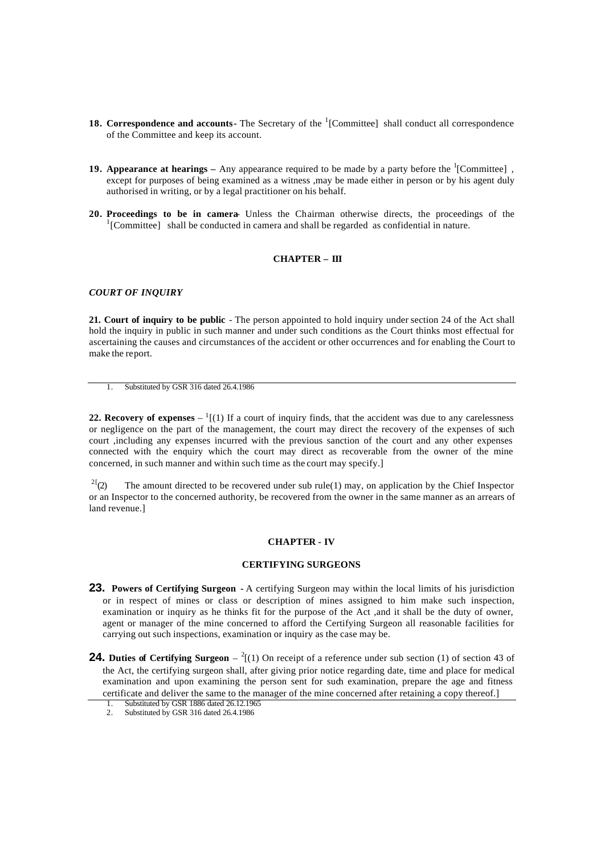- **18. Correspondence and accounts-** The Secretary of the <sup>1</sup>[Committee] shall conduct all correspondence of the Committee and keep its account.
- **19. Appearance at hearings** Any appearance required to be made by a party before the <sup>1</sup>[Committee], except for purposes of being examined as a witness ,may be made either in person or by his agent duly authorised in writing, or by a legal practitioner on his behalf.
- **20. Proceedings to be in camera** Unless the Chairman otherwise directs, the proceedings of the <sup>1</sup>[Committee] shall be conducted in camera and shall be regarded as confidential in nature.

#### **CHAPTER – III**

### *COURT OF INQUIRY*

**21. Court of inquiry to be public** - The person appointed to hold inquiry under section 24 of the Act shall hold the inquiry in public in such manner and under such conditions as the Court thinks most effectual for ascertaining the causes and circumstances of the accident or other occurrences and for enabling the Court to make the report.

1. Substituted by GSR 316 dated 26.4.1986

**22. Recovery of expenses**  $-1$  [(1) If a court of inquiry finds, that the accident was due to any carelessness or negligence on the part of the management, the court may direct the recovery of the expenses of such court ,including any expenses incurred with the previous sanction of the court and any other expenses connected with the enquiry which the court may direct as recoverable from the owner of the mine concerned, in such manner and within such time as the court may specify.]

<sup>2[</sup>(2) The amount directed to be recovered under sub rule(1) may, on application by the Chief Inspector or an Inspector to the concerned authority, be recovered from the owner in the same manner as an arrears of land revenue.]

## **CHAPTER - IV**

#### **CERTIFYING SURGEONS**

- **23. Powers of Certifying Surgeon -** A certifying Surgeon may within the local limits of his jurisdiction or in respect of mines or class or description of mines assigned to him make such inspection, examination or inquiry as he thinks fit for the purpose of the Act ,and it shall be the duty of owner, agent or manager of the mine concerned to afford the Certifying Surgeon all reasonable facilities for carrying out such inspections, examination or inquiry as the case may be.
- **24. Duties of Certifying Surgeon**  $\binom{2}{1}$  On receipt of a reference under sub section (1) of section 43 of the Act, the certifying surgeon shall, after giving prior notice regarding date, time and place for medical examination and upon examining the person sent for such examination, prepare the age and fitness certificate and deliver the same to the manager of the mine concerned after retaining a copy thereof.]

<sup>1.</sup> Substituted by GSR 1886 dated 26.12.1965

<sup>2.</sup> Substituted by GSR 316 dated 26.4.1986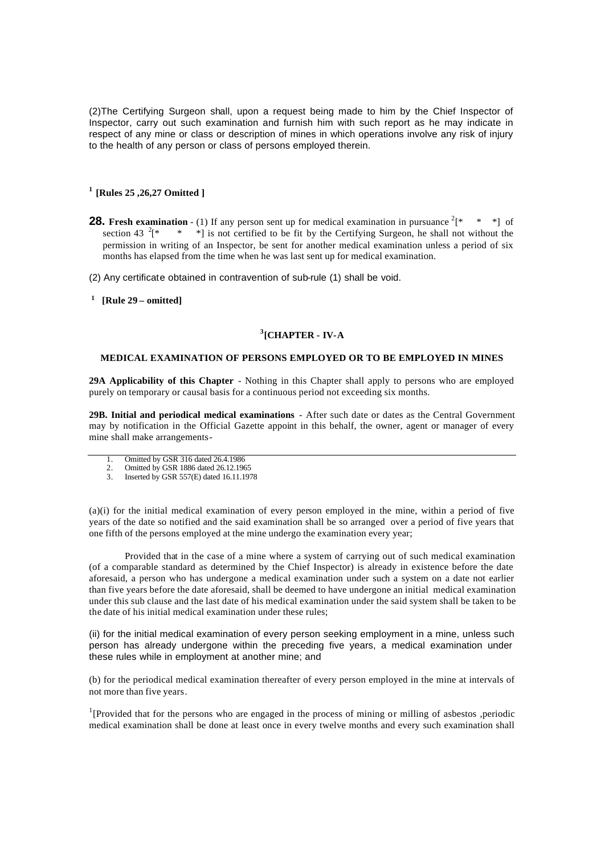(2)The Certifying Surgeon shall, upon a request being made to him by the Chief Inspector of Inspector, carry out such examination and furnish him with such report as he may indicate in respect of any mine or class or description of mines in which operations involve any risk of injury to the health of any person or class of persons employed therein.

# **<sup>1</sup>[Rules 25 ,26,27 Omitted ]**

- **28. Fresh examination** (1) If any person sent up for medical examination in pursuance  $2^x$   $[ * \quad * \quad *]$  of section 43  $^{2}$ [\* \* \* | is not certified to be fit by the Certifying Surgeon, he shall not without the permission in writing of an Inspector, be sent for another medical examination unless a period of six months has elapsed from the time when he was last sent up for medical examination.
- (2) Any certificate obtained in contravention of sub-rule (1) shall be void.
- **1 [Rule 29 omitted]**

# **3 [CHAPTER - IV-A**

### **MEDICAL EXAMINATION OF PERSONS EMPLOYED OR TO BE EMPLOYED IN MINES**

**29A Applicability of this Chapter** - Nothing in this Chapter shall apply to persons who are employed purely on temporary or causal basis for a continuous period not exceeding six months.

**29B. Initial and periodical medical examinations** - After such date or dates as the Central Government may by notification in the Official Gazette appoint in this behalf, the owner, agent or manager of every mine shall make arrangements-

- 1. Omitted by GSR 316 dated 26.4.1986<br>2. Omitted by GSR 1886 dated 26.12.1965
- 2. Omitted by GSR 1886 dated 26.12.1965 3. Inserted by GSR 557(E) dated 16.11.1978

(a)(i) for the initial medical examination of every person employed in the mine, within a period of five years of the date so notified and the said examination shall be so arranged over a period of five years that one fifth of the persons employed at the mine undergo the examination every year;

Provided that in the case of a mine where a system of carrying out of such medical examination (of a comparable standard as determined by the Chief Inspector) is already in existence before the date aforesaid, a person who has undergone a medical examination under such a system on a date not earlier than five years before the date aforesaid, shall be deemed to have undergone an initial medical examination under this sub clause and the last date of his medical examination under the said system shall be taken to be the date of his initial medical examination under these rules;

(ii) for the initial medical examination of every person seeking employment in a mine, unless such person has already undergone within the preceding five years, a medical examination under these rules while in employment at another mine; and

(b) for the periodical medical examination thereafter of every person employed in the mine at intervals of not more than five years.

<sup>1</sup>[Provided that for the persons who are engaged in the process of mining or milling of asbestos ,periodic medical examination shall be done at least once in every twelve months and every such examination shall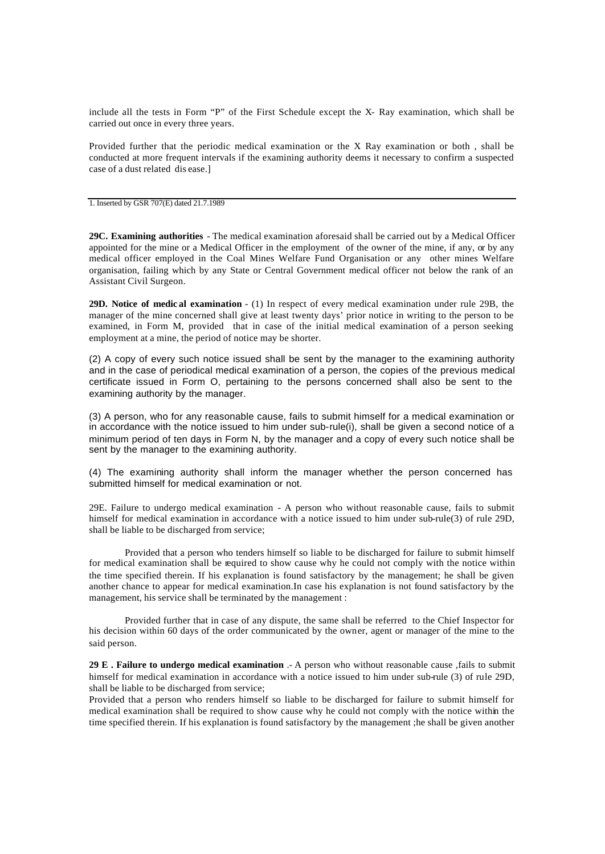include all the tests in Form "P" of the First Schedule except the X- Ray examination, which shall be carried out once in every three years.

Provided further that the periodic medical examination or the X Ray examination or both , shall be conducted at more frequent intervals if the examining authority deems it necessary to confirm a suspected case of a dust related dis ease.]

1. Inserted by GSR 707(E) dated 21.7.1989

**29C. Examining authorities** - The medical examination aforesaid shall be carried out by a Medical Officer appointed for the mine or a Medical Officer in the employment of the owner of the mine, if any, or by any medical officer employed in the Coal Mines Welfare Fund Organisation or any other mines Welfare organisation, failing which by any State or Central Government medical officer not below the rank of an Assistant Civil Surgeon.

**29D. Notice of medic al examination** - (1) In respect of every medical examination under rule 29B, the manager of the mine concerned shall give at least twenty days' prior notice in writing to the person to be examined, in Form M, provided that in case of the initial medical examination of a person seeking employment at a mine, the period of notice may be shorter.

(2) A copy of every such notice issued shall be sent by the manager to the examining authority and in the case of periodical medical examination of a person, the copies of the previous medical certificate issued in Form O, pertaining to the persons concerned shall also be sent to the examining authority by the manager.

(3) A person, who for any reasonable cause, fails to submit himself for a medical examination or in accordance with the notice issued to him under sub-rule(i), shall be given a second notice of a minimum period of ten days in Form N, by the manager and a copy of every such notice shall be sent by the manager to the examining authority.

(4) The examining authority shall inform the manager whether the person concerned has submitted himself for medical examination or not.

29E. Failure to undergo medical examination - A person who without reasonable cause, fails to submit himself for medical examination in accordance with a notice issued to him under sub-rule(3) of rule 29D, shall be liable to be discharged from service;

Provided that a person who tenders himself so liable to be discharged for failure to submit himself for medical examination shall be required to show cause why he could not comply with the notice within the time specified therein. If his explanation is found satisfactory by the management; he shall be given another chance to appear for medical examination.In case his explanation is not found satisfactory by the management, his service shall be terminated by the management :

Provided further that in case of any dispute, the same shall be referred to the Chief Inspector for his decision within 60 days of the order communicated by the owner, agent or manager of the mine to the said person.

**29 E . Failure to undergo medical examination** .- A person who without reasonable cause ,fails to submit himself for medical examination in accordance with a notice issued to him under sub-rule (3) of rule 29D, shall be liable to be discharged from service;

Provided that a person who renders himself so liable to be discharged for failure to submit himself for medical examination shall be required to show cause why he could not comply with the notice within the time specified therein. If his explanation is found satisfactory by the management ;he shall be given another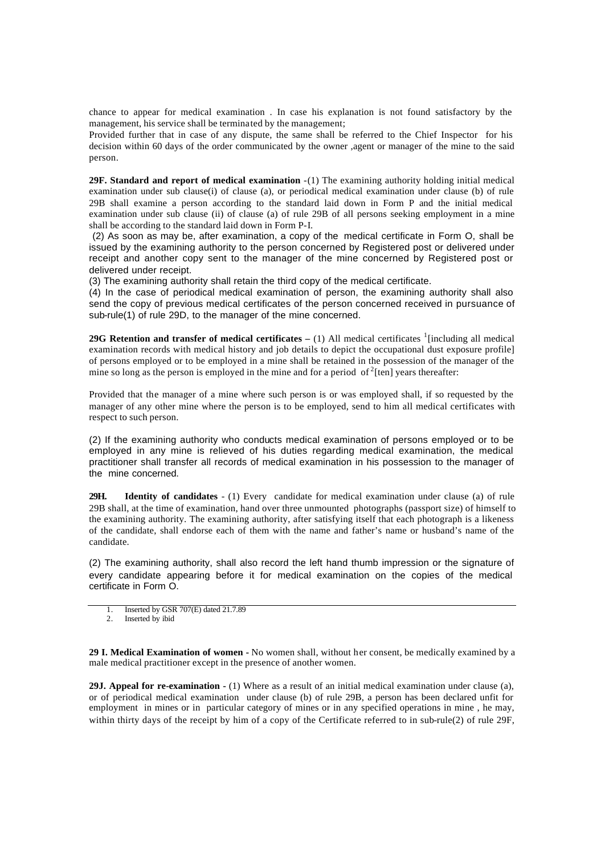chance to appear for medical examination . In case his explanation is not found satisfactory by the management, his service shall be terminated by the management;

Provided further that in case of any dispute, the same shall be referred to the Chief Inspector for his decision within 60 days of the order communicated by the owner ,agent or manager of the mine to the said person.

**29F. Standard and report of medical examination** -(1) The examining authority holding initial medical examination under sub clause(i) of clause (a), or periodical medical examination under clause (b) of rule 29B shall examine a person according to the standard laid down in Form P and the initial medical examination under sub clause (ii) of clause (a) of rule 29B of all persons seeking employment in a mine shall be according to the standard laid down in Form P-I.

 (2) As soon as may be, after examination, a copy of the medical certificate in Form O, shall be issued by the examining authority to the person concerned by Registered post or delivered under receipt and another copy sent to the manager of the mine concerned by Registered post or delivered under receipt.

(3) The examining authority shall retain the third copy of the medical certificate.

(4) In the case of periodical medical examination of person, the examining authority shall also send the copy of previous medical certificates of the person concerned received in pursuance of sub-rule(1) of rule 29D, to the manager of the mine concerned.

**29G Retention and transfer of medical certificates** – (1) All medical certificates <sup>1</sup> [including all medical examination records with medical history and job details to depict the occupational dust exposure profile] of persons employed or to be employed in a mine shall be retained in the possession of the manager of the mine so long as the person is employed in the mine and for a period of  $2$ [ten] years thereafter:

Provided that the manager of a mine where such person is or was employed shall, if so requested by the manager of any other mine where the person is to be employed, send to him all medical certificates with respect to such person.

(2) If the examining authority who conducts medical examination of persons employed or to be employed in any mine is relieved of his duties regarding medical examination, the medical practitioner shall transfer all records of medical examination in his possession to the manager of the mine concerned.

**29H. Identity of candidates** - (1) Every candidate for medical examination under clause (a) of rule 29B shall, at the time of examination, hand over three unmounted photographs (passport size) of himself to the examining authority. The examining authority, after satisfying itself that each photograph is a likeness of the candidate, shall endorse each of them with the name and father's name or husband's name of the candidate.

(2) The examining authority, shall also record the left hand thumb impression or the signature of every candidate appearing before it for medical examination on the copies of the medical certificate in Form O.

1. Inserted by GSR 707(E) dated 21.7.89

2. Inserted by ibid

**29 I. Medical Examination of women -** No women shall, without her consent, be medically examined by a male medical practitioner except in the presence of another women.

**29J. Appeal for re-examination -** (1) Where as a result of an initial medical examination under clause (a), or of periodical medical examination under clause (b) of rule 29B, a person has been declared unfit for employment in mines or in particular category of mines or in any specified operations in mine , he may, within thirty days of the receipt by him of a copy of the Certificate referred to in sub-rule(2) of rule 29F,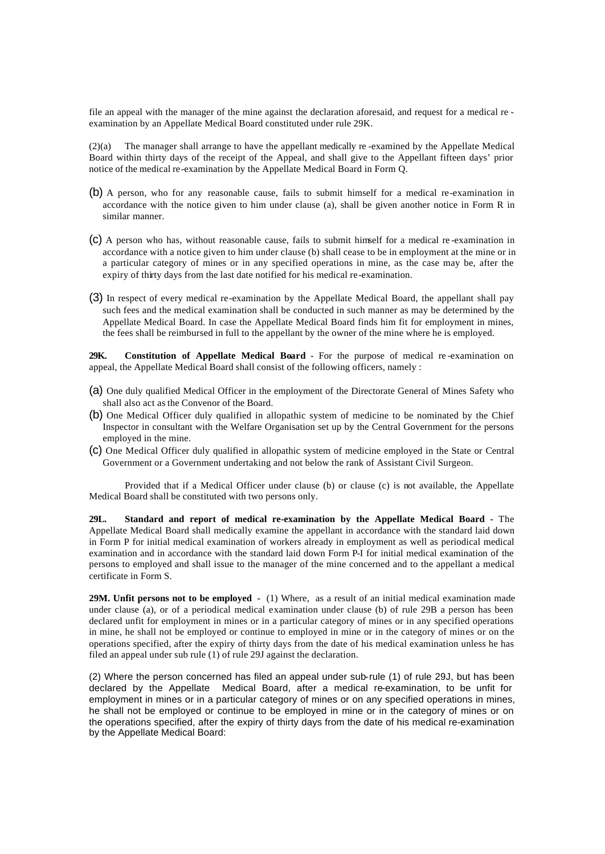file an appeal with the manager of the mine against the declaration aforesaid, and request for a medical re examination by an Appellate Medical Board constituted under rule 29K.

(2)(a) The manager shall arrange to have the appellant medically re -examined by the Appellate Medical Board within thirty days of the receipt of the Appeal, and shall give to the Appellant fifteen days' prior notice of the medical re-examination by the Appellate Medical Board in Form Q.

- (b) A person, who for any reasonable cause, fails to submit himself for a medical re-examination in accordance with the notice given to him under clause (a), shall be given another notice in Form R in similar manner.
- (c) A person who has, without reasonable cause, fails to submit himself for a medical re -examination in accordance with a notice given to him under clause (b) shall cease to be in employment at the mine or in a particular category of mines or in any specified operations in mine, as the case may be, after the expiry of thirty days from the last date notified for his medical re-examination.
- (3) In respect of every medical re-examination by the Appellate Medical Board, the appellant shall pay such fees and the medical examination shall be conducted in such manner as may be determined by the Appellate Medical Board. In case the Appellate Medical Board finds him fit for employment in mines, the fees shall be reimbursed in full to the appellant by the owner of the mine where he is employed.

**29K. Constitution of Appellate Medical Board** - For the purpose of medical re -examination on appeal, the Appellate Medical Board shall consist of the following officers, namely :

- (a) One duly qualified Medical Officer in the employment of the Directorate General of Mines Safety who shall also act as the Convenor of the Board.
- (b) One Medical Officer duly qualified in allopathic system of medicine to be nominated by the Chief Inspector in consultant with the Welfare Organisation set up by the Central Government for the persons employed in the mine.
- (c) One Medical Officer duly qualified in allopathic system of medicine employed in the State or Central Government or a Government undertaking and not below the rank of Assistant Civil Surgeon.

Provided that if a Medical Officer under clause (b) or clause (c) is not available, the Appellate Medical Board shall be constituted with two persons only.

**29L. Standard and report of medical re-examination by the Appellate Medical Board -** The Appellate Medical Board shall medically examine the appellant in accordance with the standard laid down in Form P for initial medical examination of workers already in employment as well as periodical medical examination and in accordance with the standard laid down Form P-I for initial medical examination of the persons to employed and shall issue to the manager of the mine concerned and to the appellant a medical certificate in Form S.

**29M. Unfit persons not to be employed -** (1) Where, as a result of an initial medical examination made under clause (a), or of a periodical medical examination under clause (b) of rule 29B a person has been declared unfit for employment in mines or in a particular category of mines or in any specified operations in mine, he shall not be employed or continue to employed in mine or in the category of mines or on the operations specified, after the expiry of thirty days from the date of his medical examination unless he has filed an appeal under sub rule (1) of rule 29J against the declaration.

(2) Where the person concerned has filed an appeal under sub-rule (1) of rule 29J, but has been declared by the Appellate Medical Board, after a medical re-examination, to be unfit for employment in mines or in a particular category of mines or on any specified operations in mines, he shall not be employed or continue to be employed in mine or in the category of mines or on the operations specified, after the expiry of thirty days from the date of his medical re-examination by the Appellate Medical Board: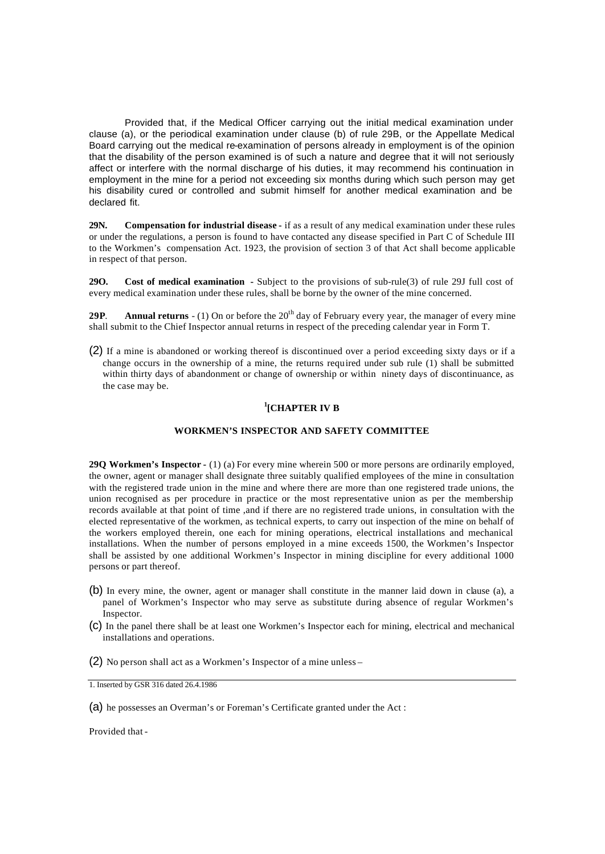Provided that, if the Medical Officer carrying out the initial medical examination under clause (a), or the periodical examination under clause (b) of rule 29B, or the Appellate Medical Board carrying out the medical re-examination of persons already in employment is of the opinion that the disability of the person examined is of such a nature and degree that it will not seriously affect or interfere with the normal discharge of his duties, it may recommend his continuation in employment in the mine for a period not exceeding six months during which such person may get his disability cured or controlled and submit himself for another medical examination and be declared fit.

**29N. Compensation for industrial disease -** if as a result of any medical examination under these rules or under the regulations, a person is found to have contacted any disease specified in Part C of Schedule III to the Workmen's compensation Act. 1923, the provision of section 3 of that Act shall become applicable in respect of that person.

**29O. Cost of medical examination -** Subject to the provisions of sub-rule(3) of rule 29J full cost of every medical examination under these rules, shall be borne by the owner of the mine concerned.

**29P. Annual returns** - (1) On or before the  $20<sup>th</sup>$  day of February every year, the manager of every mine shall submit to the Chief Inspector annual returns in respect of the preceding calendar year in Form T.

(2) If a mine is abandoned or working thereof is discontinued over a period exceeding sixty days or if a change occurs in the ownership of a mine, the returns required under sub rule (1) shall be submitted within thirty days of abandonment or change of ownership or within ninety days of discontinuance, as the case may be.

# **1 [CHAPTER IV B**

# **WORKMEN'S INSPECTOR AND SAFETY COMMITTEE**

**29Q Workmen's Inspector -** (1) (a) For every mine wherein 500 or more persons are ordinarily employed, the owner, agent or manager shall designate three suitably qualified employees of the mine in consultation with the registered trade union in the mine and where there are more than one registered trade unions, the union recognised as per procedure in practice or the most representative union as per the membership records available at that point of time ,and if there are no registered trade unions, in consultation with the elected representative of the workmen, as technical experts, to carry out inspection of the mine on behalf of the workers employed therein, one each for mining operations, electrical installations and mechanical installations. When the number of persons employed in a mine exceeds 1500, the Workmen's Inspector shall be assisted by one additional Workmen's Inspector in mining discipline for every additional 1000 persons or part thereof.

- (b) In every mine, the owner, agent or manager shall constitute in the manner laid down in clause (a), a panel of Workmen's Inspector who may serve as substitute during absence of regular Workmen's Inspector.
- (c) In the panel there shall be at least one Workmen's Inspector each for mining, electrical and mechanical installations and operations.
- (2) No person shall act as a Workmen's Inspector of a mine unless –

Provided that -

<sup>1.</sup> Inserted by GSR 316 dated 26.4.1986

<sup>(</sup>a) he possesses an Overman's or Foreman's Certificate granted under the Act :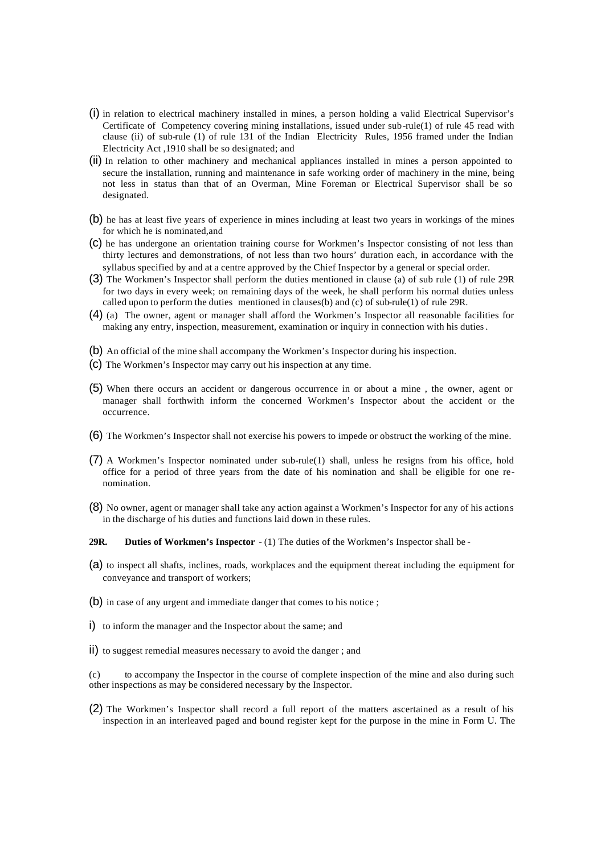- (i) in relation to electrical machinery installed in mines, a person holding a valid Electrical Supervisor's Certificate of Competency covering mining installations, issued under sub-rule(1) of rule 45 read with clause (ii) of sub-rule (1) of rule 131 of the Indian Electricity Rules, 1956 framed under the Indian Electricity Act ,1910 shall be so designated; and
- (ii) In relation to other machinery and mechanical appliances installed in mines a person appointed to secure the installation, running and maintenance in safe working order of machinery in the mine, being not less in status than that of an Overman, Mine Foreman or Electrical Supervisor shall be so designated.
- (b) he has at least five years of experience in mines including at least two years in workings of the mines for which he is nominated,and
- (c) he has undergone an orientation training course for Workmen's Inspector consisting of not less than thirty lectures and demonstrations, of not less than two hours' duration each, in accordance with the syllabus specified by and at a centre approved by the Chief Inspector by a general or special order.
- (3) The Workmen's Inspector shall perform the duties mentioned in clause (a) of sub rule (1) of rule 29R for two days in every week; on remaining days of the week, he shall perform his normal duties unless called upon to perform the duties mentioned in clauses(b) and (c) of sub-rule(1) of rule 29R.
- (4) (a) The owner, agent or manager shall afford the Workmen's Inspector all reasonable facilities for making any entry, inspection, measurement, examination or inquiry in connection with his duties.
- (b) An official of the mine shall accompany the Workmen's Inspector during his inspection.
- (c) The Workmen's Inspector may carry out his inspection at any time.
- (5) When there occurs an accident or dangerous occurrence in or about a mine , the owner, agent or manager shall forthwith inform the concerned Workmen's Inspector about the accident or the occurrence.
- (6) The Workmen's Inspector shall not exercise his powers to impede or obstruct the working of the mine.
- (7) A Workmen's Inspector nominated under sub-rule(1) shall, unless he resigns from his office, hold office for a period of three years from the date of his nomination and shall be eligible for one renomination.
- (8) No owner, agent or manager shall take any action against a Workmen's Inspector for any of his actions in the discharge of his duties and functions laid down in these rules.
- **29R. Duties of Workmen's Inspector** (1) The duties of the Workmen's Inspector shall be -
- (a) to inspect all shafts, inclines, roads, workplaces and the equipment thereat including the equipment for conveyance and transport of workers;
- (b) in case of any urgent and immediate danger that comes to his notice ;
- i) to inform the manager and the Inspector about the same; and
- ii) to suggest remedial measures necessary to avoid the danger ; and

(c) to accompany the Inspector in the course of complete inspection of the mine and also during such other inspections as may be considered necessary by the Inspector.

(2) The Workmen's Inspector shall record a full report of the matters ascertained as a result of his inspection in an interleaved paged and bound register kept for the purpose in the mine in Form U. The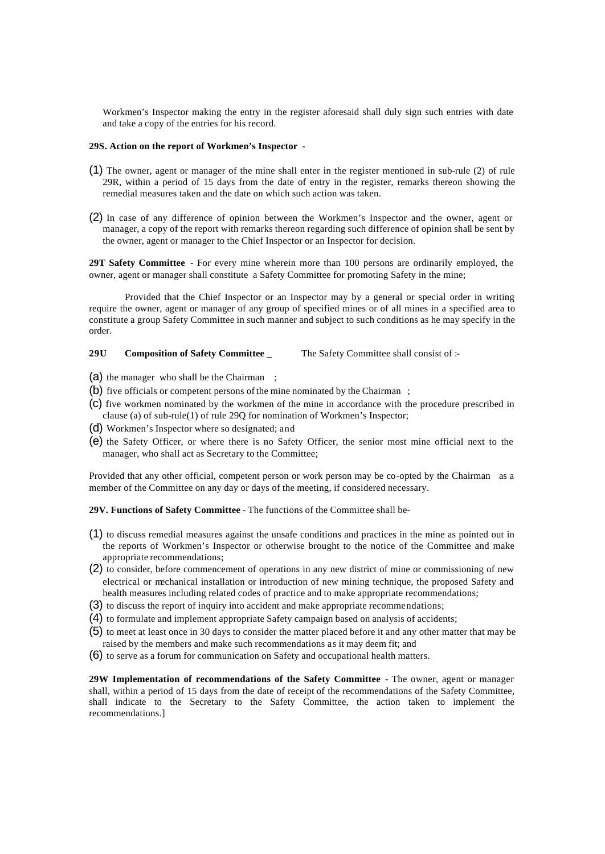Workmen's Inspector making the entry in the register aforesaid shall duly sign such entries with date and take a copy of the entries for his record.

#### **29S. Action on the report of Workmen's Inspector** -

- (1) The owner, agent or manager of the mine shall enter in the register mentioned in sub-rule (2) of rule 29R, within a period of 15 days from the date of entry in the register, remarks thereon showing the remedial measures taken and the date on which such action was taken.
- (2) In case of any difference of opinion between the Workmen's Inspector and the owner, agent or manager, a copy of the report with remarks thereon regarding such difference of opinion shall be sent by the owner, agent or manager to the Chief Inspector or an Inspector for decision.

**29T Safety Committee -** For every mine wherein more than 100 persons are ordinarily employed, the owner, agent or manager shall constitute a Safety Committee for promoting Safety in the mine;

Provided that the Chief Inspector or an Inspector may by a general or special order in writing require the owner, agent or manager of any group of specified mines or of all mines in a specified area to constitute a group Safety Committee in such manner and subject to such conditions as he may specify in the order.

**29U Composition of Safety Committee \_** The Safety Committee shall consist of :-

- (a) the manager who shall be the Chairman;
- (b) five officials or competent persons of the mine nominated by the Chairman ;
- (c) five workmen nominated by the workmen of the mine in accordance with the procedure prescribed in clause (a) of sub-rule(1) of rule 29Q for nomination of Workmen's Inspector;
- (d) Workmen's Inspector where so designated; and
- (e) the Safety Officer, or where there is no Safety Officer, the senior most mine official next to the manager, who shall act as Secretary to the Committee;

Provided that any other official, competent person or work person may be co-opted by the Chairman as a member of the Committee on any day or days of the meeting, if considered necessary.

**29V. Functions of Safety Committee** - The functions of the Committee shall be-

- (1) to discuss remedial measures against the unsafe conditions and practices in the mine as pointed out in the reports of Workmen's Inspector or otherwise brought to the notice of the Committee and make appropriate recommendations;
- (2) to consider, before commencement of operations in any new district of mine or commissioning of new electrical or mechanical installation or introduction of new mining technique, the proposed Safety and health measures including related codes of practice and to make appropriate recommendations;
- (3) to discuss the report of inquiry into accident and make appropriate recommendations;
- (4) to formulate and implement appropriate Safety campaign based on analysis of accidents;
- (5) to meet at least once in 30 days to consider the matter placed before it and any other matter that may be raised by the members and make such recommendations as it may deem fit; and
- (6) to serve as a forum for communication on Safety and occupational health matters.

**29W Implementation of recommendations of the Safety Committee** - The owner, agent or manager shall, within a period of 15 days from the date of receipt of the recommendations of the Safety Committee, shall indicate to the Secretary to the Safety Committee, the action taken to implement the recommendations.]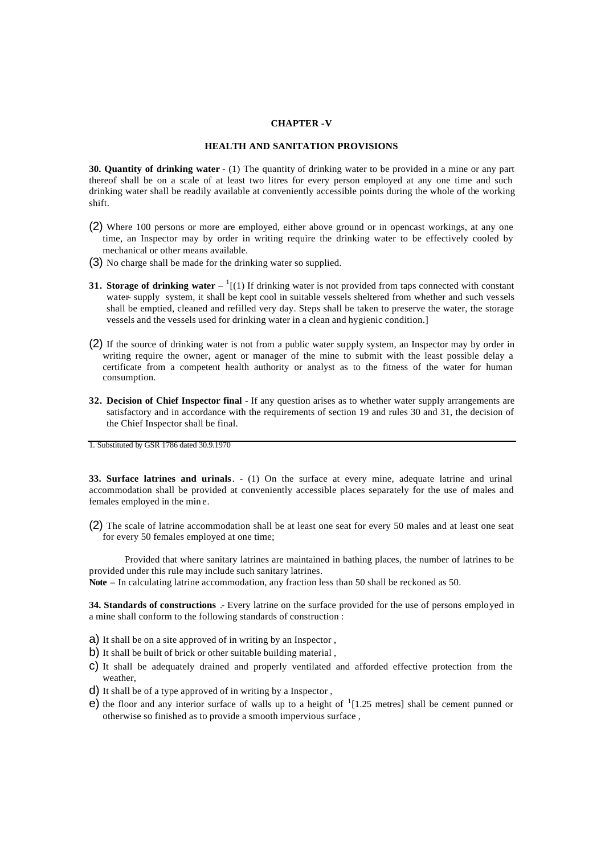#### **CHAPTER -V**

#### **HEALTH AND SANITATION PROVISIONS**

**30. Quantity of drinking water** - (1) The quantity of drinking water to be provided in a mine or any part thereof shall be on a scale of at least two litres for every person employed at any one time and such drinking water shall be readily available at conveniently accessible points during the whole of the working shift.

- (2) Where 100 persons or more are employed, either above ground or in opencast workings, at any one time, an Inspector may by order in writing require the drinking water to be effectively cooled by mechanical or other means available.
- (3) No charge shall be made for the drinking water so supplied.
- **31. Storage of drinking water**  $\binom{1}{1}$  If drinking water is not provided from taps connected with constant water- supply system, it shall be kept cool in suitable vessels sheltered from whether and such vessels shall be emptied, cleaned and refilled very day. Steps shall be taken to preserve the water, the storage vessels and the vessels used for drinking water in a clean and hygienic condition.]
- (2) If the source of drinking water is not from a public water supply system, an Inspector may by order in writing require the owner, agent or manager of the mine to submit with the least possible delay a certificate from a competent health authority or analyst as to the fitness of the water for human consumption.
- **32. Decision of Chief Inspector final** If any question arises as to whether water supply arrangements are satisfactory and in accordance with the requirements of section 19 and rules 30 and 31, the decision of the Chief Inspector shall be final.

1. Substituted by GSR 1786 dated 30.9.1970

**33. Surface latrines and urinals**. - (1) On the surface at every mine, adequate latrine and urinal accommodation shall be provided at conveniently accessible places separately for the use of males and females employed in the min e.

(2) The scale of latrine accommodation shall be at least one seat for every 50 males and at least one seat for every 50 females employed at one time;

Provided that where sanitary latrines are maintained in bathing places, the number of latrines to be provided under this rule may include such sanitary latrines.

**Note** – In calculating latrine accommodation, any fraction less than 50 shall be reckoned as 50.

**34. Standards of constructions** .- Every latrine on the surface provided for the use of persons employed in a mine shall conform to the following standards of construction :

- a) It shall be on a site approved of in writing by an Inspector ,
- b) It shall be built of brick or other suitable building material ,
- c) It shall be adequately drained and properly ventilated and afforded effective protection from the weather,
- d) It shall be of a type approved of in writing by a Inspector ,
- $e$ ) the floor and any interior surface of walls up to a height of  $1$ [1.25 metres] shall be cement punned or otherwise so finished as to provide a smooth impervious surface ,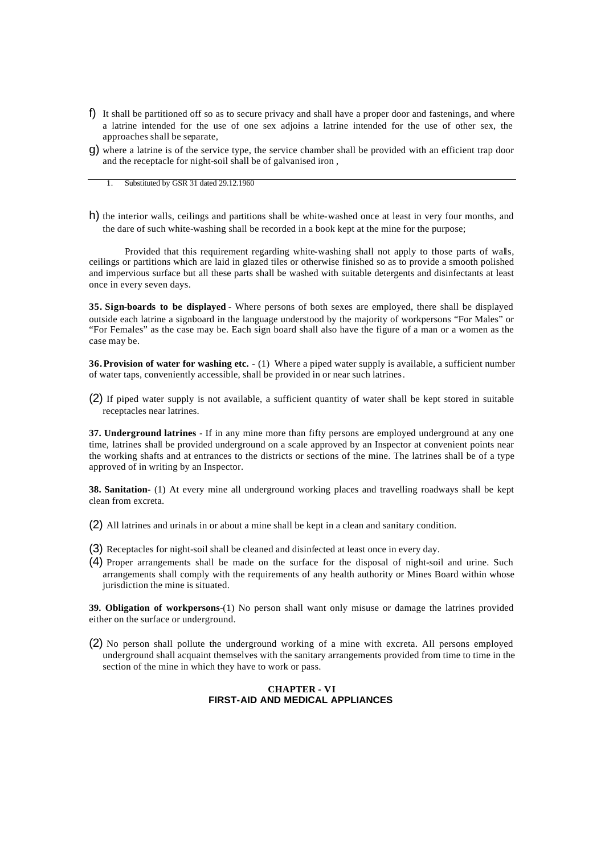- f) It shall be partitioned off so as to secure privacy and shall have a proper door and fastenings, and where a latrine intended for the use of one sex adjoins a latrine intended for the use of other sex, the approaches shall be separate,
- g) where a latrine is of the service type, the service chamber shall be provided with an efficient trap door and the receptacle for night-soil shall be of galvanised iron ,

1. Substituted by GSR 31 dated 29.12.1960

h) the interior walls, ceilings and partitions shall be white-washed once at least in very four months, and the dare of such white-washing shall be recorded in a book kept at the mine for the purpose;

Provided that this requirement regarding white-washing shall not apply to those parts of walls, ceilings or partitions which are laid in glazed tiles or otherwise finished so as to provide a smooth polished and impervious surface but all these parts shall be washed with suitable detergents and disinfectants at least once in every seven days.

**35. Sign-boards to be displayed** - Where persons of both sexes are employed, there shall be displayed outside each latrine a signboard in the language understood by the majority of workpersons "For Males" or "For Females" as the case may be. Each sign board shall also have the figure of a man or a women as the case may be.

**36.Provision of water for washing etc.** - (1) Where a piped water supply is available, a sufficient number of water taps, conveniently accessible, shall be provided in or near such latrines.

(2) If piped water supply is not available, a sufficient quantity of water shall be kept stored in suitable receptacles near latrines.

**37. Underground latrines** - If in any mine more than fifty persons are employed underground at any one time, latrines shall be provided underground on a scale approved by an Inspector at convenient points near the working shafts and at entrances to the districts or sections of the mine. The latrines shall be of a type approved of in writing by an Inspector.

**38. Sanitation**- (1) At every mine all underground working places and travelling roadways shall be kept clean from excreta.

(2) All latrines and urinals in or about a mine shall be kept in a clean and sanitary condition.

- (3) Receptacles for night-soil shall be cleaned and disinfected at least once in every day.
- (4) Proper arrangements shall be made on the surface for the disposal of night-soil and urine. Such arrangements shall comply with the requirements of any health authority or Mines Board within whose jurisdiction the mine is situated.

**39. Obligation of workpersons**-(1) No person shall want only misuse or damage the latrines provided either on the surface or underground.

(2) No person shall pollute the underground working of a mine with excreta. All persons employed underground shall acquaint themselves with the sanitary arrangements provided from time to time in the section of the mine in which they have to work or pass.

#### **CHAPTER - VI FIRST-AID AND MEDICAL APPLIANCES**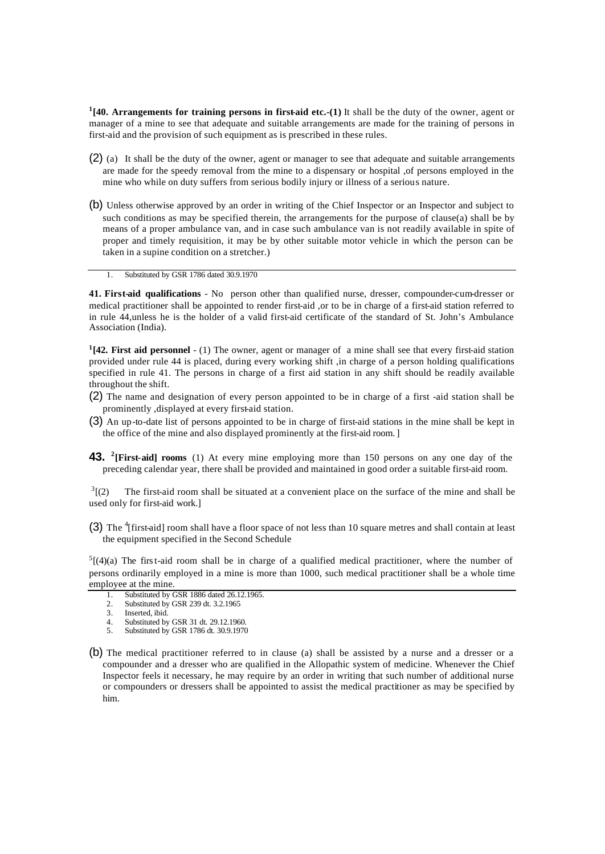<sup>1</sup>[40. Arrangements for training persons in first-aid etc.-(1) It shall be the duty of the owner, agent or manager of a mine to see that adequate and suitable arrangements are made for the training of persons in first-aid and the provision of such equipment as is prescribed in these rules.

- (2) (a) It shall be the duty of the owner, agent or manager to see that adequate and suitable arrangements are made for the speedy removal from the mine to a dispensary or hospital ,of persons employed in the mine who while on duty suffers from serious bodily injury or illness of a serious nature.
- (b) Unless otherwise approved by an order in writing of the Chief Inspector or an Inspector and subject to such conditions as may be specified therein, the arrangements for the purpose of clause(a) shall be by means of a proper ambulance van, and in case such ambulance van is not readily available in spite of proper and timely requisition, it may be by other suitable motor vehicle in which the person can be taken in a supine condition on a stretcher.)
	- 1. Substituted by GSR 1786 dated 30.9.1970

**41. First-aid qualifications** - No person other than qualified nurse, dresser, compounder-cum-dresser or medical practitioner shall be appointed to render first-aid ,or to be in charge of a first-aid station referred to in rule 44,unless he is the holder of a valid first-aid certificate of the standard of St. John's Ambulance Association (India).

**1 [42. First aid personnel** - (1) The owner, agent or manager of a mine shall see that every first-aid station provided under rule 44 is placed, during every working shift ,in charge of a person holding qualifications specified in rule 41. The persons in charge of a first aid station in any shift should be readily available throughout the shift.

- (2) The name and designation of every person appointed to be in charge of a first -aid station shall be prominently ,displayed at every first-aid station.
- (3) An up-to-date list of persons appointed to be in charge of first-aid stations in the mine shall be kept in the office of the mine and also displayed prominently at the first-aid room.]
- **43. <sup>2</sup> [First-aid] rooms** (1) At every mine employing more than 150 persons on any one day of the preceding calendar year, there shall be provided and maintained in good order a suitable first-aid room.

 $3(2)$ The first-aid room shall be situated at a convenient place on the surface of the mine and shall be used only for first-aid work.]

(3) The  $^{4}$ [first-aid] room shall have a floor space of not less than 10 square metres and shall contain at least the equipment specified in the Second Schedule

 $5[(4)(a)$  The first-aid room shall be in charge of a qualified medical practitioner, where the number of persons ordinarily employed in a mine is more than 1000, such medical practitioner shall be a whole time employee at the mine.

- 1. Substituted by GSR 1886 dated 26.12.1965.
- 2. Substituted by GSR 239 dt. 3.2.1965<br>3. Inserted, ibid.
- Inserted, ibid.
- 4. Substituted by GSR 31 dt. 29.12.1960.
- 5. Substituted by GSR 1786 dt. 30.9.1970
- (b) The medical practitioner referred to in clause (a) shall be assisted by a nurse and a dresser or a compounder and a dresser who are qualified in the Allopathic system of medicine. Whenever the Chief Inspector feels it necessary, he may require by an order in writing that such number of additional nurse or compounders or dressers shall be appointed to assist the medical practitioner as may be specified by him.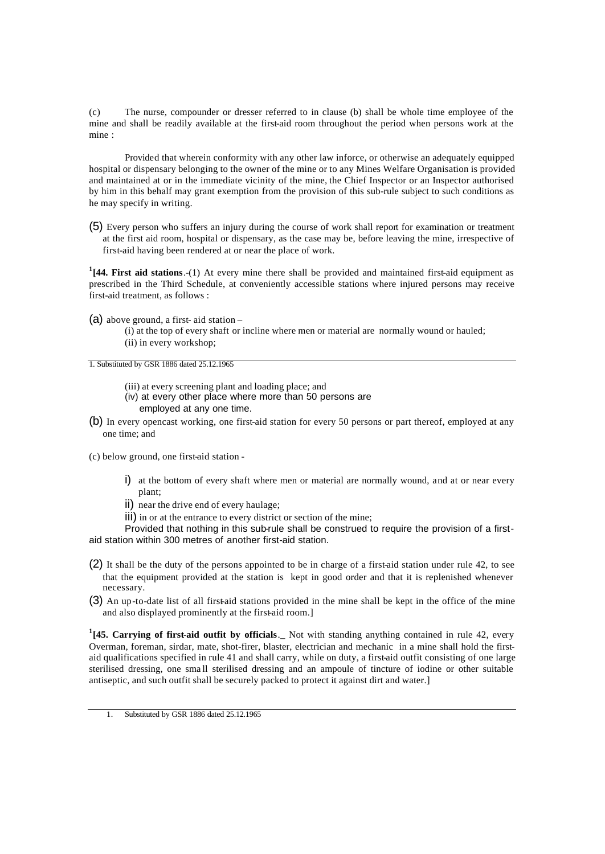(c) The nurse, compounder or dresser referred to in clause (b) shall be whole time employee of the mine and shall be readily available at the first-aid room throughout the period when persons work at the mine :

Provided that wherein conformity with any other law inforce, or otherwise an adequately equipped hospital or dispensary belonging to the owner of the mine or to any Mines Welfare Organisation is provided and maintained at or in the immediate vicinity of the mine, the Chief Inspector or an Inspector authorised by him in this behalf may grant exemption from the provision of this sub-rule subject to such conditions as he may specify in writing.

(5) Every person who suffers an injury during the course of work shall report for examination or treatment at the first aid room, hospital or dispensary, as the case may be, before leaving the mine, irrespective of first-aid having been rendered at or near the place of work.

**1 [44. First aid stations**.-(1) At every mine there shall be provided and maintained first-aid equipment as prescribed in the Third Schedule, at conveniently accessible stations where injured persons may receive first-aid treatment, as follows :

- (a) above ground, a first- aid station
	- (i) at the top of every shaft or incline where men or material are normally wound or hauled; (ii) in every workshop;

1. Substituted by GSR 1886 dated 25.12.1965

- (iii) at every screening plant and loading place; and
- (iv) at every other place where more than 50 persons are
- employed at any one time.
- (b) In every opencast working, one first-aid station for every 50 persons or part thereof, employed at any one time; and

(c) below ground, one first-aid station -

- i) at the bottom of every shaft where men or material are normally wound, and at or near every plant;
- ii) near the drive end of every haulage;
- iii) in or at the entrance to every district or section of the mine;

Provided that nothing in this sub-rule shall be construed to require the provision of a firstaid station within 300 metres of another first-aid station.

- (2) It shall be the duty of the persons appointed to be in charge of a first-aid station under rule 42, to see that the equipment provided at the station is kept in good order and that it is replenished whenever necessary.
- (3) An up-to-date list of all first-aid stations provided in the mine shall be kept in the office of the mine and also displayed prominently at the first-aid room.]

<sup>1</sup>[45. Carrying of first-aid outfit by officials. Not with standing anything contained in rule 42, every Overman, foreman, sirdar, mate, shot-firer, blaster, electrician and mechanic in a mine shall hold the firstaid qualifications specified in rule 41 and shall carry, while on duty, a first-aid outfit consisting of one large sterilised dressing, one sma ll sterilised dressing and an ampoule of tincture of iodine or other suitable antiseptic, and such outfit shall be securely packed to protect it against dirt and water.]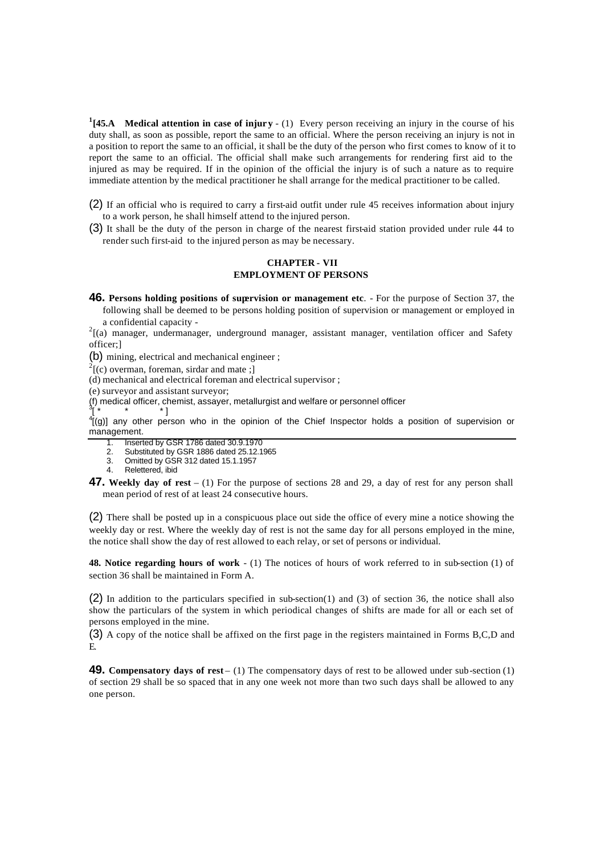**1 [45.A Medical attention in case of injury** - (1) Every person receiving an injury in the course of his duty shall, as soon as possible, report the same to an official. Where the person receiving an injury is not in a position to report the same to an official, it shall be the duty of the person who first comes to know of it to report the same to an official. The official shall make such arrangements for rendering first aid to the injured as may be required. If in the opinion of the official the injury is of such a nature as to require immediate attention by the medical practitioner he shall arrange for the medical practitioner to be called.

(2) If an official who is required to carry a first-aid outfit under rule 45 receives information about injury to a work person, he shall himself attend to the injured person.

(3) It shall be the duty of the person in charge of the nearest first-aid station provided under rule 44 to render such first-aid to the injured person as may be necessary.

### **CHAPTER - VII EMPLOYMENT OF PERSONS**

**46. Persons holding positions of supervision or management etc**. - For the purpose of Section 37, the following shall be deemed to be persons holding position of supervision or management or employed in a confidential capacity -

 $2^{2}$ [(a) manager, undermanager, underground manager, assistant manager, ventilation officer and Safety officer;]

(b) mining, electrical and mechanical engineer ;

 $2^{2}$ [(c) overman, foreman, sirdar and mate;]

(d) mechanical and electrical foreman and electrical supervisor ;

(e) surveyor and assistant surveyor;

(f) medical officer, chemist, assayer, metallurgist and welfare or personnel officer<br><sup>3r</sup> \*

[ \* \* \* ] 4 [(g)] any other person who in the opinion of the Chief Inspector holds a position of supervision or management.

1. Inserted by GSR 1786 dated 30.9.1970

2. Substituted by GSR 1886 dated 25.12.1965

- 3. Omitted by GSR 312 dated 15.1.1957
- 4. Relettered, ibid

**47. Weekly day of rest** – (1) For the purpose of sections 28 and 29, a day of rest for any person shall mean period of rest of at least 24 consecutive hours.

(2) There shall be posted up in a conspicuous place out side the office of every mine a notice showing the weekly day or rest. Where the weekly day of rest is not the same day for all persons employed in the mine, the notice shall show the day of rest allowed to each relay, or set of persons or individual.

**48. Notice regarding hours of work** - (1) The notices of hours of work referred to in sub-section (1) of section 36 shall be maintained in Form A.

(2) In addition to the particulars specified in sub-section(1) and (3) of section 36, the notice shall also show the particulars of the system in which periodical changes of shifts are made for all or each set of persons employed in the mine.

(3) A copy of the notice shall be affixed on the first page in the registers maintained in Forms B,C,D and E.

**49. Compensatory days of rest** – (1) The compensatory days of rest to be allowed under sub-section (1) of section 29 shall be so spaced that in any one week not more than two such days shall be allowed to any one person.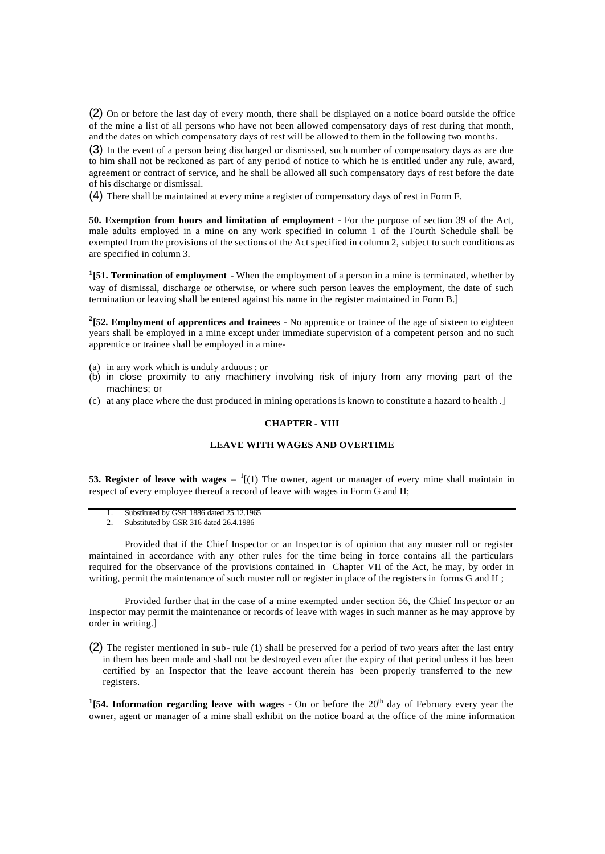(2) On or before the last day of every month, there shall be displayed on a notice board outside the office of the mine a list of all persons who have not been allowed compensatory days of rest during that month, and the dates on which compensatory days of rest will be allowed to them in the following two months.

(3) In the event of a person being discharged or dismissed, such number of compensatory days as are due to him shall not be reckoned as part of any period of notice to which he is entitled under any rule, award, agreement or contract of service, and he shall be allowed all such compensatory days of rest before the date of his discharge or dismissal.

(4) There shall be maintained at every mine a register of compensatory days of rest in Form F.

**50. Exemption from hours and limitation of employment** - For the purpose of section 39 of the Act, male adults employed in a mine on any work specified in column 1 of the Fourth Schedule shall be exempted from the provisions of the sections of the Act specified in column 2, subject to such conditions as are specified in column 3.

**1 [51. Termination of employment** - When the employment of a person in a mine is terminated, whether by way of dismissal, discharge or otherwise, or where such person leaves the employment, the date of such termination or leaving shall be entered against his name in the register maintained in Form B.]

**2 [52. Employment of apprentices and trainees** - No apprentice or trainee of the age of sixteen to eighteen years shall be employed in a mine except under immediate supervision of a competent person and no such apprentice or trainee shall be employed in a mine-

- (a) in any work which is unduly arduous ; or
- (b) in close proximity to any machinery involving risk of injury from any moving part of the machines; or
- (c) at any place where the dust produced in mining operations is known to constitute a hazard to health .]

### **CHAPTER - VIII**

## **LEAVE WITH WAGES AND OVERTIME**

**53. Register of leave with wages**  $- \binom{1}{1}$  The owner, agent or manager of every mine shall maintain in respect of every employee thereof a record of leave with wages in Form G and H;

- 1. Substituted by GSR 1886 dated 25.12.1965
- 2. Substituted by GSR 316 dated 26.4.1986

Provided that if the Chief Inspector or an Inspector is of opinion that any muster roll or register maintained in accordance with any other rules for the time being in force contains all the particulars required for the observance of the provisions contained in Chapter VII of the Act, he may, by order in writing, permit the maintenance of such muster roll or register in place of the registers in forms G and H;

Provided further that in the case of a mine exempted under section 56, the Chief Inspector or an Inspector may permit the maintenance or records of leave with wages in such manner as he may approve by order in writing.]

(2) The register mentioned in sub- rule (1) shall be preserved for a period of two years after the last entry in them has been made and shall not be destroyed even after the expiry of that period unless it has been certified by an Inspector that the leave account therein has been properly transferred to the new registers.

<sup>1</sup>(54. Information regarding leave with wages  $\overline{\phantom{a}}$  - On or before the 20<sup>th</sup> day of February every year the owner, agent or manager of a mine shall exhibit on the notice board at the office of the mine information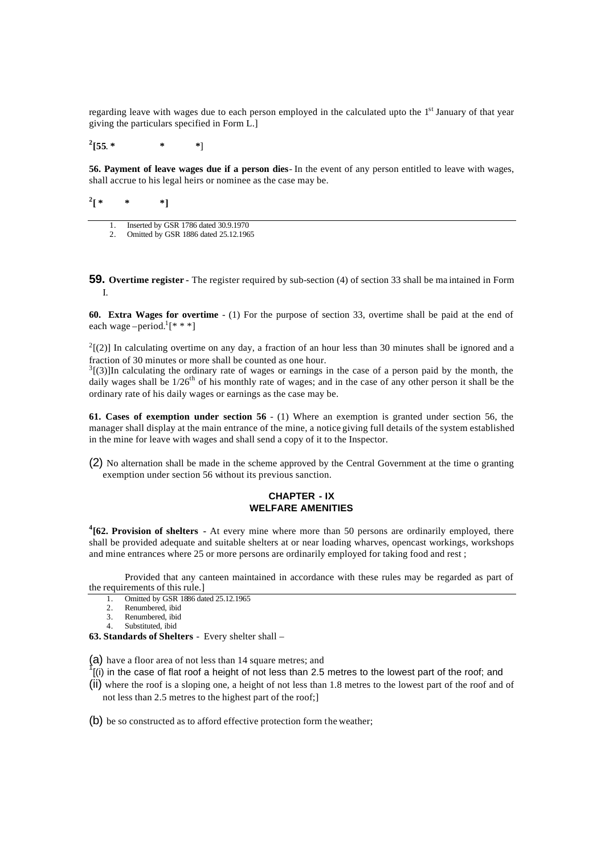regarding leave with wages due to each person employed in the calculated upto the 1<sup>st</sup> January of that year giving the particulars specified in Form L.]

**2 [55**. **\* \* \***]

**56. Payment of leave wages due if a person dies**- In the event of any person entitled to leave with wages, shall accrue to his legal heirs or nominee as the case may be.

 $^{2}$ [  $*$ **[ \* \* \*]**

1. Inserted by GSR 1786 dated 30.9.1970

2. Omitted by GSR 1886 dated 25.12.1965

**59.** Overtime register - The register required by sub-section (4) of section 33 shall be ma intained in Form I.

**60. Extra Wages for overtime** - (1) For the purpose of section 33, overtime shall be paid at the end of each wage – period.<sup>1</sup>[ $***$ ]

 $2^2$ [(2)] In calculating overtime on any day, a fraction of an hour less than 30 minutes shall be ignored and a fraction of 30 minutes or more shall be counted as one hour.

 $3(3)$ ]In calculating the ordinary rate of wages or earnings in the case of a person paid by the month, the daily wages shall be  $1/26^{th}$  of his monthly rate of wages; and in the case of any other person it shall be the ordinary rate of his daily wages or earnings as the case may be.

**61. Cases of exemption under section 56** - (1) Where an exemption is granted under section 56, the manager shall display at the main entrance of the mine, a notice giving full details of the system established in the mine for leave with wages and shall send a copy of it to the Inspector.

(2) No alternation shall be made in the scheme approved by the Central Government at the time o granting exemption under section 56 without its previous sanction.

# **CHAPTER - IX WELFARE AMENITIES**

<sup>4</sup>[62. Provision of shelters - At every mine where more than 50 persons are ordinarily employed, there shall be provided adequate and suitable shelters at or near loading wharves, opencast workings, workshops and mine entrances where 25 or more persons are ordinarily employed for taking food and rest ;

Provided that any canteen maintained in accordance with these rules may be regarded as part of the requirements of this rule.]

- 1. Omitted by GSR 1886 dated 25.12.1965
- 2. Renumbered, ibid
- 3. Renumbered, ibid 4. Substituted, ibid

**63. Standards of Shelters** - Every shelter shall –

(a) have a floor area of not less than 14 square metres; and

 $\hat{f}$ [(i) in the case of flat roof a height of not less than 2.5 metres to the lowest part of the roof; and

(ii) where the roof is a sloping one, a height of not less than 1.8 metres to the lowest part of the roof and of not less than 2.5 metres to the highest part of the roof;]

(b) be so constructed as to afford effective protection form the weather;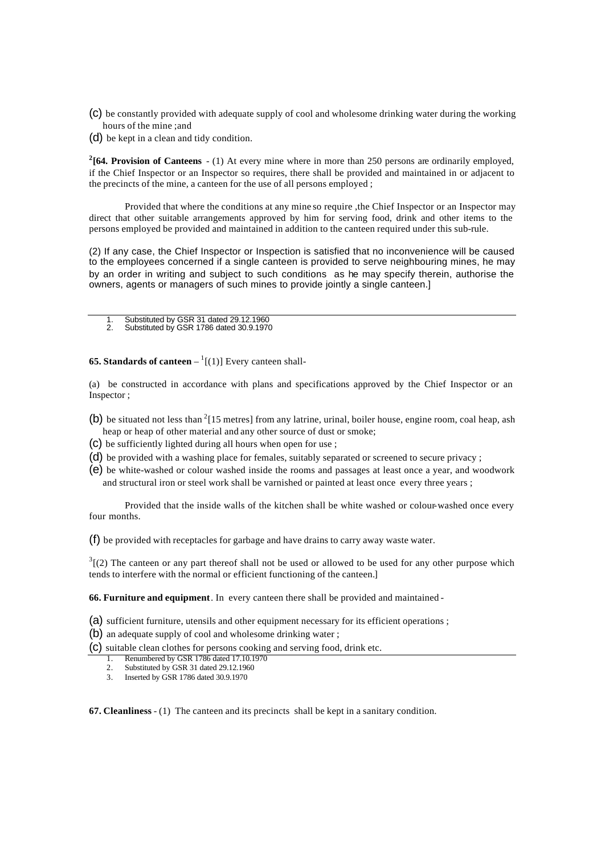- (c) be constantly provided with adequate supply of cool and wholesome drinking water during the working hours of the mine ;and
- (d) be kept in a clean and tidy condition.

<sup>2</sup>[64. Provision of Canteens - (1) At every mine where in more than 250 persons are ordinarily employed, if the Chief Inspector or an Inspector so requires, there shall be provided and maintained in or adjacent to the precincts of the mine, a canteen for the use of all persons employed ;

Provided that where the conditions at any mine so require ,the Chief Inspector or an Inspector may direct that other suitable arrangements approved by him for serving food, drink and other items to the persons employed be provided and maintained in addition to the canteen required under this sub-rule.

(2) If any case, the Chief Inspector or Inspection is satisfied that no inconvenience will be caused to the employees concerned if a single canteen is provided to serve neighbouring mines, he may by an order in writing and subject to such conditions as he may specify therein, authorise the owners, agents or managers of such mines to provide jointly a single canteen.]

- 1. Substituted by GSR 31 dated 29.12.1960<br>2. Substituted by GSR 1786 dated 30.9.1970
- 2. Substituted by GSR 1786 dated 30.9.1970

**65. Standards of canteen**  $-$ <sup>1</sup>[(1)] Every canteen shall-

(a) be constructed in accordance with plans and specifications approved by the Chief Inspector or an Inspector ;

- (b) be situated not less than  $2$ [15 metres] from any latrine, urinal, boiler house, engine room, coal heap, ash heap or heap of other material and any other source of dust or smoke;
- (c) be sufficiently lighted during all hours when open for use ;
- (d) be provided with a washing place for females, suitably separated or screened to secure privacy ;
- (e) be white-washed or colour washed inside the rooms and passages at least once a year, and woodwork and structural iron or steel work shall be varnished or painted at least once every three years ;

Provided that the inside walls of the kitchen shall be white washed or colour-washed once every four months.

(f) be provided with receptacles for garbage and have drains to carry away waste water.

 $3(2)$  The canteen or any part thereof shall not be used or allowed to be used for any other purpose which tends to interfere with the normal or efficient functioning of the canteen.]

**66. Furniture and equipment**. In every canteen there shall be provided and maintained -

- (a) sufficient furniture, utensils and other equipment necessary for its efficient operations ;
- (b) an adequate supply of cool and wholesome drinking water ;

(c) suitable clean clothes for persons cooking and serving food, drink etc.

- 1. Renumbered by GSR 1786 dated 17.10.1970<br>2. Substituted by GSR 31 dated 29.12.1960
- 2. Substituted by GSR 31 dated 29.12.1960
- 3. Inserted by GSR 1786 dated 30.9.1970

**67. Cleanliness** - (1) The canteen and its precincts shall be kept in a sanitary condition.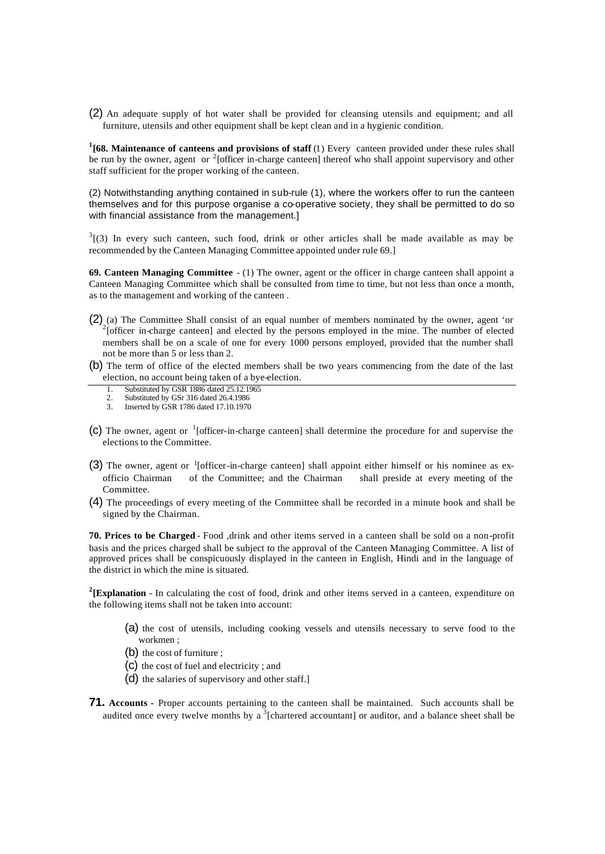(2) An adequate supply of hot water shall be provided for cleansing utensils and equipment; and all furniture, utensils and other equipment shall be kept clean and in a hygienic condition.

<sup>1</sup>[68. Maintenance of canteens and provisions of staff (1) Every canteen provided under these rules shall be run by the owner, agent or <sup>2</sup>[officer in-charge canteen] thereof who shall appoint supervisory and other staff sufficient for the proper working of the canteen.

(2) Notwithstanding anything contained in sub-rule (1), where the workers offer to run the canteen themselves and for this purpose organise a co-operative society, they shall be permitted to do so with financial assistance from the management.]

 $3(3)$  In every such canteen, such food, drink or other articles shall be made available as may be recommended by the Canteen Managing Committee appointed under rule 69.]

**69. Canteen Managing Committee** - (1) The owner, agent or the officer in charge canteen shall appoint a Canteen Managing Committee which shall be consulted from time to time, but not less than once a month, as to the management and working of the canteen .

- $(2)$  (a) The Committee Shall consist of an equal number of members nominated by the owner, agent 'or  $2^{2}$ [officer in-charge canteen] and elected by the persons employed in the mine. The number of elected members shall be on a scale of one for every 1000 persons employed, provided that the number shall not be more than 5 or less than 2.
- (b) The term of office of the elected members shall be two years commencing from the date of the last election, no account being taken of a bye-election.
	- 1. Substituted by GSR 1886 dated 25.12.1965<br>2. Substituted by GSr 316 dated 26.4 1986
	- 2. Substituted by GSr 316 dated 26.4.1986
	- 3. Inserted by GSR 1786 dated 17.10.1970
- (c) The owner, agent or  $\frac{1}{1}$  [officer-in-charge canteen] shall determine the procedure for and supervise the elections to the Committee.
- (3) The owner, agent or  $1$ [officer-in-charge canteen] shall appoint either himself or his nominee as exofficio Chairman of the Committee; and the Chairman shall preside at every meeting of the Committee.
- (4) The proceedings of every meeting of the Committee shall be recorded in a minute book and shall be signed by the Chairman.

**70. Prices to be Charged** - Food ,drink and other items served in a canteen shall be sold on a non-profit basis and the prices charged shall be subject to the approval of the Canteen Managing Committee. A list of approved prices shall be conspicuously displayed in the canteen in English, Hindi and in the language of the district in which the mine is situated.

<sup>2</sup>(Explanation - In calculating the cost of food, drink and other items served in a canteen, expenditure on the following items shall not be taken into account:

- (a) the cost of utensils, including cooking vessels and utensils necessary to serve food to the workmen ;
- (b) the cost of furniture ;
- (c) the cost of fuel and electricity ; and
- (d) the salaries of supervisory and other staff.]
- **71. Accounts -** Proper accounts pertaining to the canteen shall be maintained. Such accounts shall be audited once every twelve months by a  $\frac{3}{3}$  [chartered accountant] or auditor, and a balance sheet shall be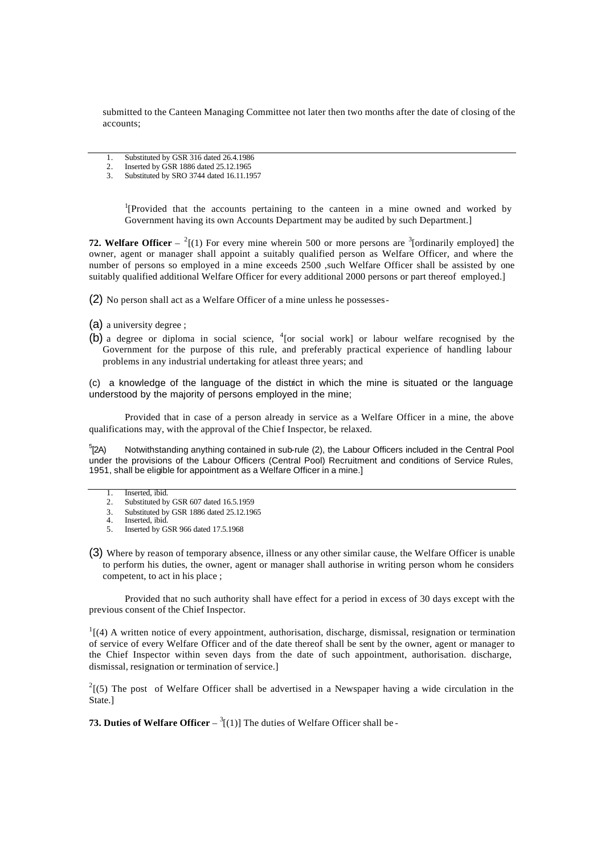submitted to the Canteen Managing Committee not later then two months after the date of closing of the accounts;

- 1. Substituted by GSR 316 dated 26.4.1986
- 2. Inserted by GSR 1886 dated 25.12.1965
- 3. Substituted by SRO 3744 dated 16.11.1957

<sup>1</sup>[Provided that the accounts pertaining to the canteen in a mine owned and worked by Government having its own Accounts Department may be audited by such Department.]

**72. Welfare Officer**  $-{}^{2}$ [(1) For every mine wherein 500 or more persons are <sup>3</sup>[ordinarily employed] the owner, agent or manager shall appoint a suitably qualified person as Welfare Officer, and where the number of persons so employed in a mine exceeds 2500 ,such Welfare Officer shall be assisted by one suitably qualified additional Welfare Officer for every additional 2000 persons or part thereof employed.]

- (2) No person shall act as a Welfare Officer of a mine unless he possesses -
- (a) a university degree ;
- (b) a degree or diploma in social science,  ${}^{4}$  [or social work] or labour welfare recognised by the Government for the purpose of this rule, and preferably practical experience of handling labour problems in any industrial undertaking for atleast three years; and

(c) a knowledge of the language of the district in which the mine is situated or the language understood by the majority of persons employed in the mine;

Provided that in case of a person already in service as a Welfare Officer in a mine, the above qualifications may, with the approval of the Chief Inspector, be relaxed.

 $5$ [2A) Notwithstanding anything contained in sub-rule (2), the Labour Officers included in the Central Pool under the provisions of the Labour Officers (Central Pool) Recruitment and conditions of Service Rules, 1951, shall be eligible for appointment as a Welfare Officer in a mine.]

- 1. Inserted, ibid.<br>2. Substituted by<br>3. Substituted by
- 2. Substituted by GSR 607 dated 16.5.1959
- 3. Substituted by GSR 1886 dated 25.12.1965<br>4 Inserted. ibid.
- Inserted, ibid. 5. Inserted by GSR 966 dated 17.5.1968
- (3) Where by reason of temporary absence, illness or any other similar cause, the Welfare Officer is unable to perform his duties, the owner, agent or manager shall authorise in writing person whom he considers competent, to act in his place ;

Provided that no such authority shall have effect for a period in excess of 30 days except with the previous consent of the Chief Inspector.

 $<sup>1</sup>$ [(4) A written notice of every appointment, authorisation, discharge, dismissal, resignation or termination</sup> of service of every Welfare Officer and of the date thereof shall be sent by the owner, agent or manager to the Chief Inspector within seven days from the date of such appointment, authorisation. discharge, dismissal, resignation or termination of service.]

 $2(5)$  The post of Welfare Officer shall be advertised in a Newspaper having a wide circulation in the State.]

**73. Duties of Welfare Officer**  $- \binom{3}{1}$  The duties of Welfare Officer shall be -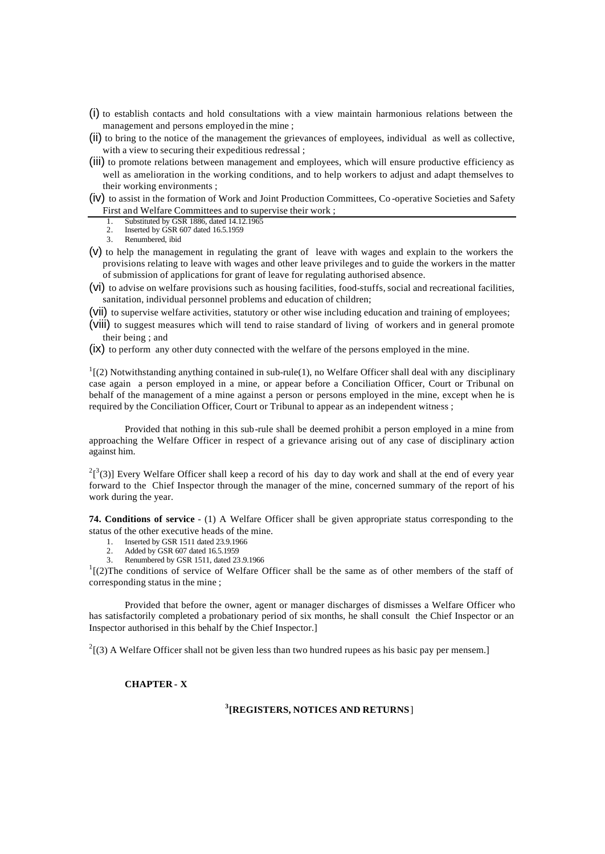- (i) to establish contacts and hold consultations with a view maintain harmonious relations between the management and persons employed in the mine ;
- (ii) to bring to the notice of the management the grievances of employees, individual as well as collective, with a view to securing their expeditious redressal ;
- (iii) to promote relations between management and employees, which will ensure productive efficiency as well as amelioration in the working conditions, and to help workers to adjust and adapt themselves to their working environments ;
- (iv) to assist in the formation of Work and Joint Production Committees, Co -operative Societies and Safety First and Welfare Committees and to supervise their work ;
	- 1. Substituted by GSR 1886, dated 14.12.1965<br>2. Inserted by GSR 607 dated 16.5.1959
	- Inserted by GSR 607 dated 16.5.1959
	- 3. Renumbered, ibid
- (v) to help the management in regulating the grant of leave with wages and explain to the workers the provisions relating to leave with wages and other leave privileges and to guide the workers in the matter of submission of applications for grant of leave for regulating authorised absence.
- (vi) to advise on welfare provisions such as housing facilities, food-stuffs, social and recreational facilities, sanitation, individual personnel problems and education of children;
- (vii) to supervise welfare activities, statutory or other wise including education and training of employees;
- (viii) to suggest measures which will tend to raise standard of living of workers and in general promote their being ; and
- (ix) to perform any other duty connected with the welfare of the persons employed in the mine.

 $<sup>1</sup>$ [(2) Notwithstanding anything contained in sub-rule(1), no Welfare Officer shall deal with any disciplinary</sup> case again a person employed in a mine, or appear before a Conciliation Officer, Court or Tribunal on behalf of the management of a mine against a person or persons employed in the mine, except when he is required by the Conciliation Officer, Court or Tribunal to appear as an independent witness ;

Provided that nothing in this sub-rule shall be deemed prohibit a person employed in a mine from approaching the Welfare Officer in respect of a grievance arising out of any case of disciplinary action against him.

 $^{2}$ [<sup>3</sup>(3)] Every Welfare Officer shall keep a record of his day to day work and shall at the end of every year forward to the Chief Inspector through the manager of the mine, concerned summary of the report of his work during the year.

**74. Conditions of service** - (1) A Welfare Officer shall be given appropriate status corresponding to the status of the other executive heads of the mine.

- 1. Inserted by GSR 1511 dated 23.9.1966
- 2. Added by GSR 607 dated 16.5.1959
- 3. Renumbered by GSR 1511, dated 23.9.1966

 $1$ [(2)The conditions of service of Welfare Officer shall be the same as of other members of the staff of corresponding status in the mine ;

Provided that before the owner, agent or manager discharges of dismisses a Welfare Officer who has satisfactorily completed a probationary period of six months, he shall consult the Chief Inspector or an Inspector authorised in this behalf by the Chief Inspector.]

 $2^2$ [(3) A Welfare Officer shall not be given less than two hundred rupees as his basic pay per mensem.]

**CHAPTER - X**

# **3 [REGISTERS, NOTICES AND RETURNS**]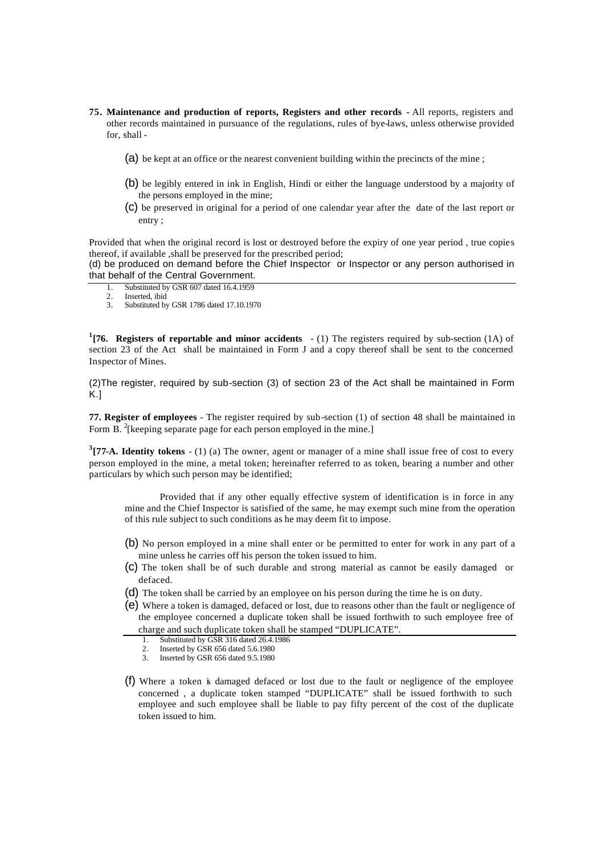- **75. Maintenance and production of reports, Registers and other records -** All reports, registers and other records maintained in pursuance of the regulations, rules of bye-laws, unless otherwise provided for, shall -
	- (a) be kept at an office or the nearest convenient building within the precincts of the mine ;
	- (b) be legibly entered in ink in English, Hindi or either the language understood by a majority of the persons employed in the mine;
	- (c) be preserved in original for a period of one calendar year after the date of the last report or entry ;

Provided that when the original record is lost or destroyed before the expiry of one year period , true copies thereof, if available ,shall be preserved for the prescribed period;

(d) be produced on demand before the Chief Inspector or Inspector or any person authorised in that behalf of the Central Government.

- 1. Substituted by GSR 607 dated 16.4.1959
- 2. Inserted, ibid<br>  $3.$  Substituted by
- Substituted by GSR 1786 dated 17.10.1970

**1 [76. Registers of reportable and minor accidents** - (1) The registers required by sub-section (1A) of section 23 of the Act shall be maintained in Form J and a copy thereof shall be sent to the concerned Inspector of Mines.

(2)The register, required by sub-section (3) of section 23 of the Act shall be maintained in Form K.]

**77. Register of employees** - The register required by sub-section (1) of section 48 shall be maintained in Form B.  $^{2}$ [keeping separate page for each person employed in the mine.]

**3 [77-A. Identity tokens** - (1) (a) The owner, agent or manager of a mine shall issue free of cost to every person employed in the mine, a metal token; hereinafter referred to as token, bearing a number and other particulars by which such person may be identified;

Provided that if any other equally effective system of identification is in force in any mine and the Chief Inspector is satisfied of the same, he may exempt such mine from the operation of this rule subject to such conditions as he may deem fit to impose.

- (b) No person employed in a mine shall enter or be permitted to enter for work in any part of a mine unless he carries off his person the token issued to him.
- (c) The token shall be of such durable and strong material as cannot be easily damaged or defaced.
- (d) The token shall be carried by an employee on his person during the time he is on duty.
- (e) Where a token is damaged, defaced or lost, due to reasons other than the fault or negligence of the employee concerned a duplicate token shall be issued forthwith to such employee free of charge and such duplicate token shall be stamped "DUPLICATE".<br>1. Substituted by GSR 316 dated 26.4.1986
	- Substituted by GSR 316 dated 26.4.1986
	- 2. Inserted by GSR 656 dated 5.6.1980<br>3. Inserted by GSR 656 dated 9.5.1980
	- Inserted by GSR 656 dated 9.5.1980
- (f) Where a token is damaged defaced or lost due to the fault or negligence of the employee concerned , a duplicate token stamped "DUPLICATE" shall be issued forthwith to such employee and such employee shall be liable to pay fifty percent of the cost of the duplicate token issued to him.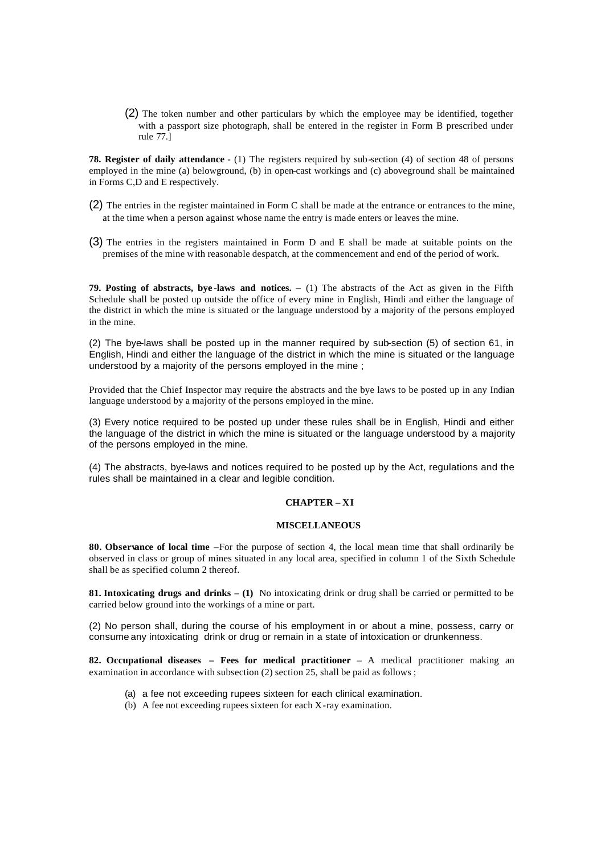(2) The token number and other particulars by which the employee may be identified, together with a passport size photograph, shall be entered in the register in Form B prescribed under rule 77.]

**78. Register of daily attendance** - (1) The registers required by sub-section (4) of section 48 of persons employed in the mine (a) belowground, (b) in open-cast workings and (c) aboveground shall be maintained in Forms C,D and E respectively.

- (2) The entries in the register maintained in Form C shall be made at the entrance or entrances to the mine, at the time when a person against whose name the entry is made enters or leaves the mine.
- (3) The entries in the registers maintained in Form D and E shall be made at suitable points on the premises of the mine with reasonable despatch, at the commencement and end of the period of work.

**79. Posting of abstracts, bye -laws and notices. –** (1) The abstracts of the Act as given in the Fifth Schedule shall be posted up outside the office of every mine in English, Hindi and either the language of the district in which the mine is situated or the language understood by a majority of the persons employed in the mine.

(2) The bye-laws shall be posted up in the manner required by sub-section (5) of section 61, in English, Hindi and either the language of the district in which the mine is situated or the language understood by a majority of the persons employed in the mine ;

Provided that the Chief Inspector may require the abstracts and the bye laws to be posted up in any Indian language understood by a majority of the persons employed in the mine.

(3) Every notice required to be posted up under these rules shall be in English, Hindi and either the language of the district in which the mine is situated or the language understood by a majority of the persons employed in the mine.

(4) The abstracts, bye-laws and notices required to be posted up by the Act, regulations and the rules shall be maintained in a clear and legible condition.

# **CHAPTER – XI**

#### **MISCELLANEOUS**

**80. Observance of local time –**For the purpose of section 4, the local mean time that shall ordinarily be observed in class or group of mines situated in any local area, specified in column 1 of the Sixth Schedule shall be as specified column 2 thereof.

**81. Intoxicating drugs and drinks – (1)** No intoxicating drink or drug shall be carried or permitted to be carried below ground into the workings of a mine or part.

(2) No person shall, during the course of his employment in or about a mine, possess, carry or consume any intoxicating drink or drug or remain in a state of intoxication or drunkenness.

**82. Occupational diseases – Fees for medical practitioner** – A medical practitioner making an examination in accordance with subsection (2) section 25, shall be paid as follows ;

- (a) a fee not exceeding rupees sixteen for each clinical examination.
- (b) A fee not exceeding rupees sixteen for each X-ray examination.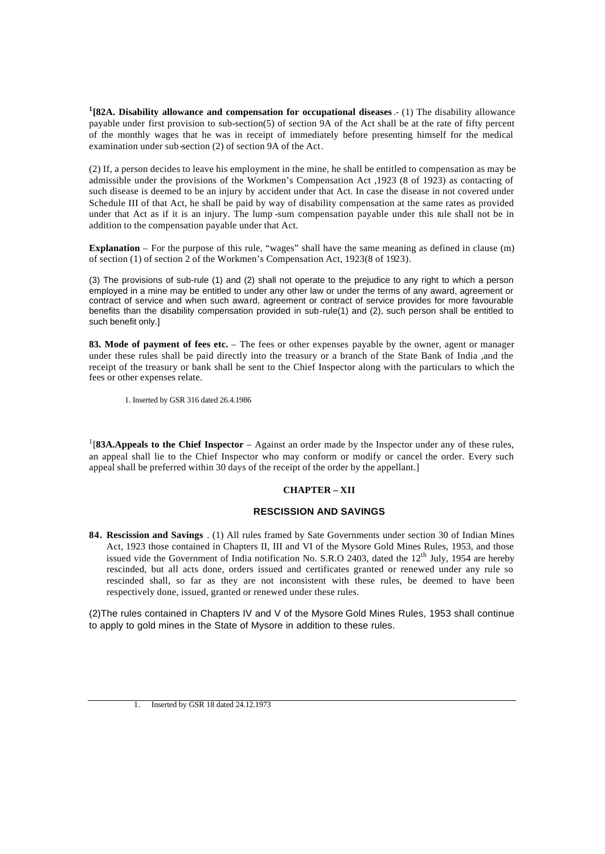**1 [82A. Disability allowance and compensation for occupational diseases**.- (1) The disability allowance payable under first provision to sub-section(5) of section 9A of the Act shall be at the rate of fifty percent of the monthly wages that he was in receipt of immediately before presenting himself for the medical examination under sub-section (2) of section 9A of the Act.

(2) If, a person decides to leave his employment in the mine, he shall be entitled to compensation as may be admissible under the provisions of the Workmen's Compensation Act ,1923 (8 of 1923) as contacting of such disease is deemed to be an injury by accident under that Act. In case the disease in not covered under Schedule III of that Act, he shall be paid by way of disability compensation at the same rates as provided under that Act as if it is an injury. The lump -sum compensation payable under this rule shall not be in addition to the compensation payable under that Act.

**Explanation** – For the purpose of this rule, "wages" shall have the same meaning as defined in clause (m) of section (1) of section 2 of the Workmen's Compensation Act, 1923(8 of 1923).

(3) The provisions of sub-rule (1) and (2) shall not operate to the prejudice to any right to which a person employed in a mine may be entitled to under any other law or under the terms of any award, agreement or contract of service and when such award, agreement or contract of service provides for more favourable benefits than the disability compensation provided in sub-rule(1) and (2), such person shall be entitled to such benefit only.]

**83. Mode of payment of fees etc.** – The fees or other expenses payable by the owner, agent or manager under these rules shall be paid directly into the treasury or a branch of the State Bank of India ,and the receipt of the treasury or bank shall be sent to the Chief Inspector along with the particulars to which the fees or other expenses relate.

1. Inserted by GSR 316 dated 26.4.1986

<sup>1</sup>[83A.Appeals to the Chief Inspector – Against an order made by the Inspector under any of these rules, an appeal shall lie to the Chief Inspector who may conform or modify or cancel the order. Every such appeal shall be preferred within 30 days of the receipt of the order by the appellant.]

## **CHAPTER – XII**

## **RESCISSION AND SAVINGS**

**84. Rescission and Savings** . (1) All rules framed by Sate Governments under section 30 of Indian Mines Act, 1923 those contained in Chapters II, III and VI of the Mysore Gold Mines Rules, 1953, and those issued vide the Government of India notification No. S.R.O 2403, dated the  $12<sup>th</sup>$  July, 1954 are hereby rescinded, but all acts done, orders issued and certificates granted or renewed under any rule so rescinded shall, so far as they are not inconsistent with these rules, be deemed to have been respectively done, issued, granted or renewed under these rules.

(2)The rules contained in Chapters IV and V of the Mysore Gold Mines Rules, 1953 shall continue to apply to gold mines in the State of Mysore in addition to these rules.

<sup>1.</sup> Inserted by GSR 18 dated 24.12.1973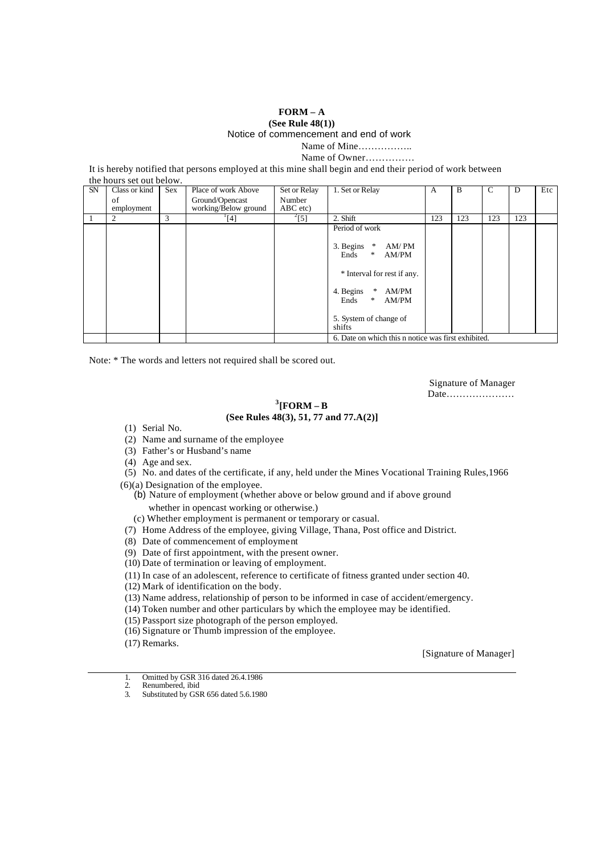# **FORM – A (See Rule 48(1))**

Notice of commencement and end of work

Name of Mine……………..

Name of Owner……………

It is hereby notified that persons employed at this mine shall begin and end their period of work between

|           | the hours set out below. |     |                                         |                      |                                                     |     |     |     |     |     |
|-----------|--------------------------|-----|-----------------------------------------|----------------------|-----------------------------------------------------|-----|-----|-----|-----|-----|
| <b>SN</b> | Class or kind            | Sex | Place of work Above                     | Set or Relay         | 1. Set or Relay                                     | A   | B   | C   | D   | Etc |
|           | of<br>employment         |     | Ground/Opencast<br>working/Below ground | Number<br>$ABC$ etc) |                                                     |     |     |     |     |     |
|           | 2                        | 3   | $[4]$                                   | $^{2}[5]$            | 2. Shift                                            | 123 | 123 | 123 | 123 |     |
|           |                          |     |                                         |                      | Period of work                                      |     |     |     |     |     |
|           |                          |     |                                         |                      | 3. Begins<br>AM/PM<br>*<br>*<br>Ends<br>AM/PM       |     |     |     |     |     |
|           |                          |     |                                         |                      | * Interval for rest if any.                         |     |     |     |     |     |
|           |                          |     |                                         |                      | 4. Begins<br>AM/PM<br>*<br>Ends<br>*<br>AM/PM       |     |     |     |     |     |
|           |                          |     |                                         |                      | 5. System of change of<br>shifts                    |     |     |     |     |     |
|           |                          |     |                                         |                      | 6. Date on which this n notice was first exhibited. |     |     |     |     |     |

Note: \* The words and letters not required shall be scored out.

Signature of Manager Date…………………

# **3 [FORM – B (See Rules 48(3), 51, 77 and 77.A(2)]**

- (1) Serial No.
- (2) Name and surname of the employee
- (3) Father's or Husband's name
- (4) Age and sex.
- (5) No. and dates of the certificate, if any, held under the Mines Vocational Training Rules,1966
- (6)(a) Designation of the employee.
	- (b) Nature of employment (whether above or below ground and if above ground
		- whether in opencast working or otherwise.)
	- (c) Whether employment is permanent or temporary or casual.
- (7) Home Address of the employee, giving Village, Thana, Post office and District.
- (8) Date of commencement of employment
- (9) Date of first appointment, with the present owner.
- (10) Date of termination or leaving of employment.
- (11) In case of an adolescent, reference to certificate of fitness granted under section 40.
- (12) Mark of identification on the body.
- (13) Name address, relationship of person to be informed in case of accident/emergency.
- (14) Token number and other particulars by which the employee may be identified.
- (15) Passport size photograph of the person employed.
- (16) Signature or Thumb impression of the employee.
- (17) Remarks.

[Signature of Manager]

- 1. Omitted by GSR 316 dated 26.4.1986<br>2. Renumbered, ibid
- 2. Renumbered, ibid<br>
3. Substituted by GSI
- Substituted by GSR 656 dated 5.6.1980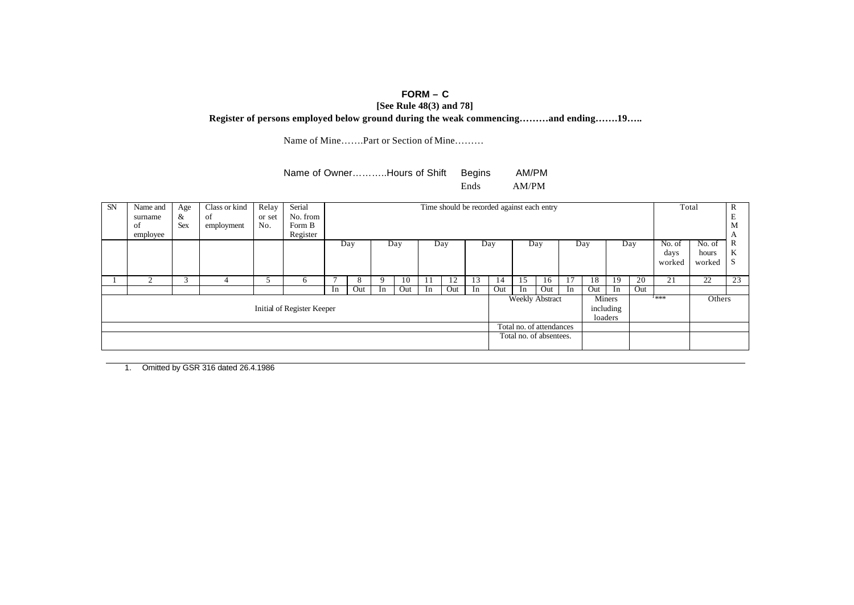# **FORM – C**

**[See Rule 48(3) and 78]**

**Register of persons employed below ground during the weak commencing………and ending…….19…..**

Name of Mine…….Part or Section of Mine………

## Name of Owner………..Hours of Shift Begins AM/PM Ends AM/PM

| <b>SN</b> | Name and<br>surname<br>οf | Age<br>&<br><b>Sex</b> | Class or kind<br>of<br>employment | Relay<br>or set<br>No. | Serial<br>No. from<br>Form B |    |                  |                |     |    |     |    | Time should be recorded against each entry |                          |     |    |      |                                |     |        | Total  | D<br>v<br>E<br>M |
|-----------|---------------------------|------------------------|-----------------------------------|------------------------|------------------------------|----|------------------|----------------|-----|----|-----|----|--------------------------------------------|--------------------------|-----|----|------|--------------------------------|-----|--------|--------|------------------|
|           | employee                  |                        |                                   |                        | Register                     |    |                  |                |     |    |     |    |                                            |                          |     |    |      |                                |     |        |        |                  |
|           |                           |                        |                                   |                        |                              |    | Day              |                | Day |    | Day |    | Day                                        |                          | Day |    | Day  |                                | Day | No. of | No. of | v                |
|           |                           |                        |                                   |                        |                              |    |                  |                |     |    |     |    |                                            |                          |     |    | days | hours                          | v.  |        |        |                  |
|           |                           |                        |                                   |                        |                              |    | worked<br>worked |                |     |    |     |    |                                            |                          |     |    |      |                                |     |        |        |                  |
|           | σ                         |                        | 4                                 |                        | <sub>0</sub>                 |    |                  |                | 10  |    |     | 13 | 14                                         | 15                       | 16  |    | 18   | 19                             | 20  | 21     | 22     | 23               |
|           |                           |                        |                                   |                        |                              | 1n | Out              | 1 <sub>n</sub> | Out | 1n | Out | 1n | Out                                        | -In                      | Out | In | Out  | 1 <sub>n</sub>                 | Out |        |        |                  |
|           |                           |                        |                                   |                        | Initial of Register Keeper   |    |                  |                |     |    |     |    |                                            | Weekly Abstract          |     |    |      | Miners<br>including<br>loaders |     | 1***   | Others |                  |
|           |                           |                        |                                   |                        |                              |    |                  |                |     |    |     |    |                                            | Total no. of attendances |     |    |      |                                |     |        |        |                  |
|           |                           |                        |                                   |                        |                              |    |                  |                |     |    |     |    |                                            | Total no. of absentees.  |     |    |      |                                |     |        |        |                  |

1. Omitted by GSR 316 dated 26.4.1986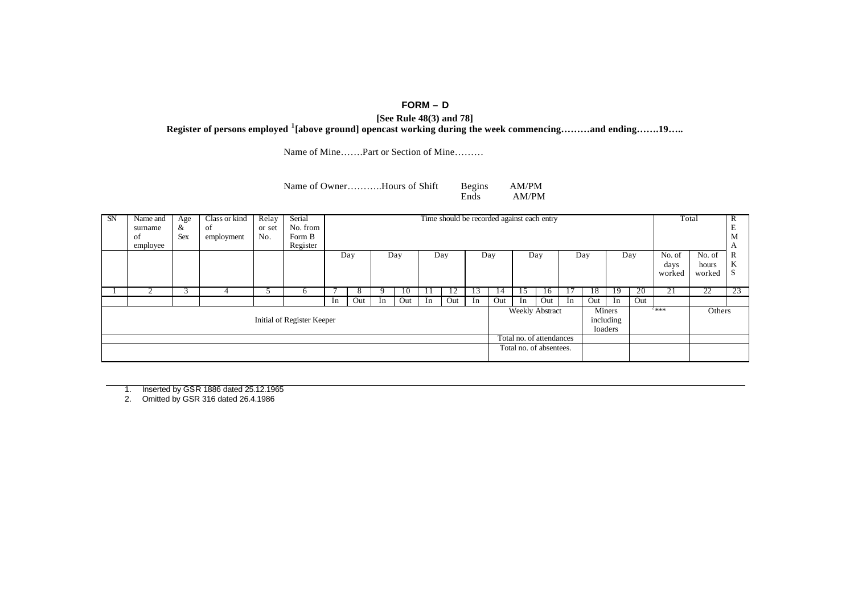# **FORM – D**

**[See Rule 48(3) and 78] Register of persons employed <sup>1</sup> [above ground] opencast working during the week commencing………and ending…….19…..**

Name of Mine…….Part or Section of Mine………

Name of Owner………..Hours of Shift Begins AM/PM<br>Ends AM/PM

 $\mathbf{AM}/\mathbf{PM}$ 

| SN | Name and<br>surname<br><sup>of</sup><br>employee | Age<br>&<br><b>Sex</b> | Class or kind<br>-of<br>employment | Relay<br>or set<br>No. | Serial<br>No. from<br>Form B<br>Register |    |     |    |     |    |            |    | Time should be recorded against each entry |                          |     |         |                  |                                |                 |                          | Total                     | R<br>М       |
|----|--------------------------------------------------|------------------------|------------------------------------|------------------------|------------------------------------------|----|-----|----|-----|----|------------|----|--------------------------------------------|--------------------------|-----|---------|------------------|--------------------------------|-----------------|--------------------------|---------------------------|--------------|
|    |                                                  |                        |                                    |                        |                                          |    | Day |    | Day |    | Day        |    | Day                                        |                          | Day |         | Day              |                                | Day             | No. of<br>days<br>worked | No. of<br>hours<br>worked | R<br>K<br>C. |
|    |                                                  |                        | 4                                  |                        | O                                        |    |     |    | 10  |    | 12         | 15 | 14                                         | 15                       | 16  | $\perp$ | 18               | 19                             | $2\overline{0}$ | 21                       | $\overline{22}$           | 23           |
|    |                                                  |                        |                                    |                        |                                          | In | Out | In | Out | In | <b>Out</b> | In | Out                                        | In                       | Out | In      | Out <sup>1</sup> | In                             | Out             |                          |                           |              |
|    |                                                  |                        |                                    |                        | Initial of Register Keeper               |    |     |    |     |    |            |    |                                            | <b>Weekly Abstract</b>   |     |         |                  | Miners<br>including<br>loaders |                 | $2***$                   | Others                    |              |
|    |                                                  |                        |                                    |                        |                                          |    |     |    |     |    |            |    |                                            | Total no. of attendances |     |         |                  |                                |                 |                          |                           |              |
|    |                                                  |                        |                                    |                        |                                          |    |     |    |     |    |            |    |                                            | Total no. of absentees.  |     |         |                  |                                |                 |                          |                           |              |

1. Inserted by GSR 1886 dated 25.12.1965

2. Omitted by GSR 316 dated 26.4.1986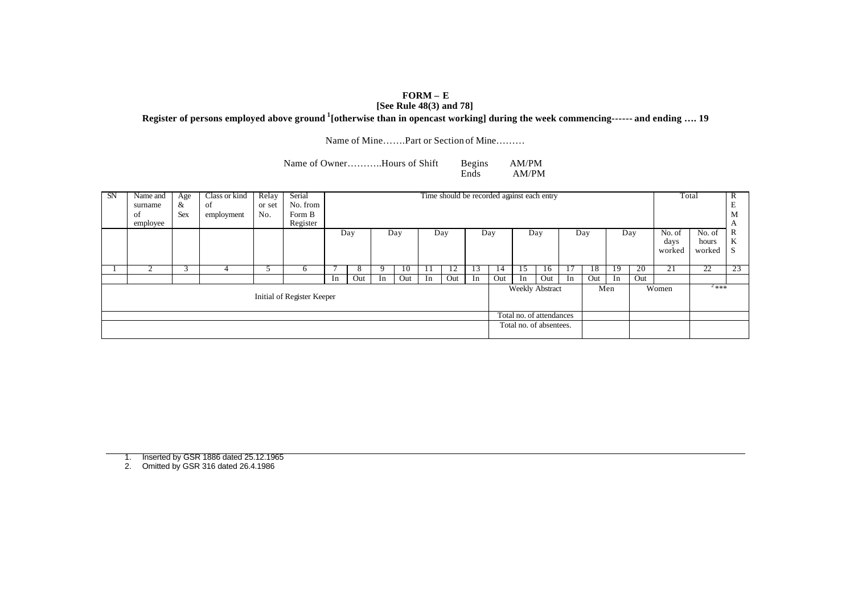# **FORM – E**

# **[See Rule 48(3) and 78]**

**Register of persons employed above ground <sup>1</sup> [otherwise than in opencast working] during the week commencing------ and ending …. 19**

Name of Mine…….Part or Section of Mine………

Name of Owner………..Hours of Shift Begins AM/PM<br>Ends AM/PM AM/PM

| SN | Name and<br>surname<br>of<br>employee | Age<br>&<br><b>Sex</b> | Class or kind<br>of<br>employment | Relay<br>or set<br>No. | Serial<br>No. from<br>Form B<br>Register |    |     |    |                     |    |                |    | Time should be recorded against each entry |                          |     |    |     |     |                 |                          | Total                     | R<br>M<br>A  |
|----|---------------------------------------|------------------------|-----------------------------------|------------------------|------------------------------------------|----|-----|----|---------------------|----|----------------|----|--------------------------------------------|--------------------------|-----|----|-----|-----|-----------------|--------------------------|---------------------------|--------------|
|    |                                       |                        |                                   |                        |                                          |    | Day |    | Day                 |    | Day            |    | Day                                        |                          | Day |    | Day |     | Day             | No. of<br>days<br>worked | No. of<br>hours<br>worked | R<br>K<br>C. |
|    |                                       | é.                     |                                   |                        | n.                                       |    | Õ.  |    | -10                 |    | $\overline{1}$ | 13 | 14                                         |                          | 16  |    | 18  | 19  | $2\overline{0}$ | 21                       | $\overline{22}$           | 23           |
|    |                                       |                        |                                   |                        |                                          | 1n | Out | In | $\vert$ Out $\vert$ | In | Out            | In | Out                                        | In                       | Out | In | Out | In  | Out             |                          |                           |              |
|    |                                       |                        |                                   |                        | Initial of Register Keeper               |    |     |    |                     |    |                |    |                                            | <b>Weekly Abstract</b>   |     |    |     | Men |                 | Women                    | $2***$                    |              |
|    |                                       |                        |                                   |                        |                                          |    |     |    |                     |    |                |    |                                            | Total no. of attendances |     |    |     |     |                 |                          |                           |              |
|    |                                       |                        |                                   |                        |                                          |    |     |    |                     |    |                |    |                                            | Total no. of absentees.  |     |    |     |     |                 |                          |                           |              |

1. Inserted by GSR 1886 dated 25.12.1965

2. Omitted by GSR 316 dated 26.4.1986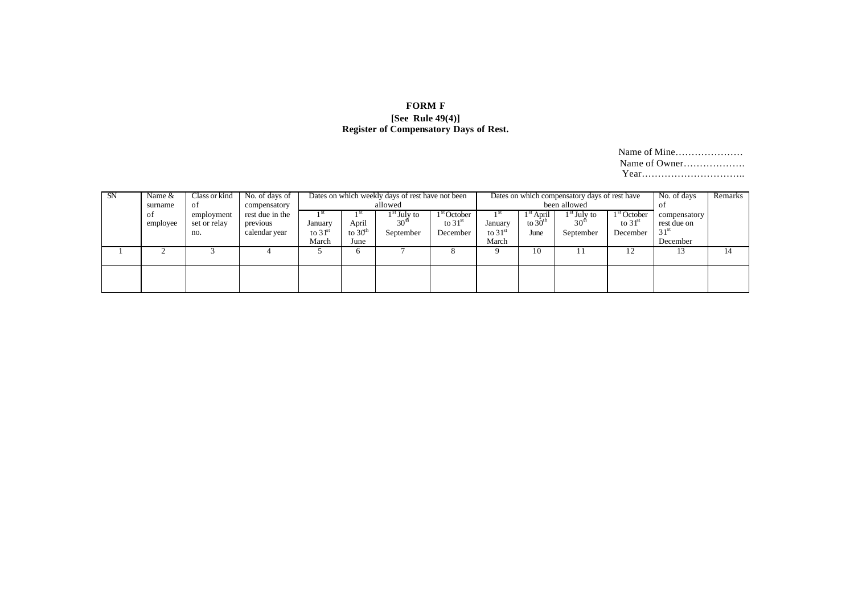# **FORM F [See Rule 49(4)] Register of Compensatory Days of Rest.**

Name of Mine………………… Name of Owner………………. Year…………………………..

| <b>SN</b> | Name &<br>surname | Class or kind<br>οť        | No. of days of<br>compensatory |                    |                   | Dates on which weekly days of rest have not been<br>allowed |                            |                    |                                               | Dates on which compensatory days of rest have<br>been allowed |                            | No. of days<br>-01          | Remarks |
|-----------|-------------------|----------------------------|--------------------------------|--------------------|-------------------|-------------------------------------------------------------|----------------------------|--------------------|-----------------------------------------------|---------------------------------------------------------------|----------------------------|-----------------------------|---------|
|           | -ot<br>employee   | employment<br>set or relay | rest due in the<br>previous    | January            | April             | l <sup>st</sup> July to<br>30 <sup>u</sup>                  | $1st$ October<br>to $31st$ | January            | <sup>1</sup> <sup>st</sup> April<br>to $30th$ | 1 <sup>st</sup> July to<br>30 <sup>th</sup>                   | $1st$ October<br>to $31st$ | compensatory<br>rest due on |         |
|           |                   | no.                        | calendar year                  | to $31st$<br>March | to $30th$<br>June | September                                                   | December                   | to $31st$<br>March | June                                          | September                                                     | December                   | $31^{\rm st}$<br>December   |         |
|           |                   |                            |                                |                    |                   |                                                             |                            |                    | 10                                            |                                                               | ∸                          |                             | 14      |
|           |                   |                            |                                |                    |                   |                                                             |                            |                    |                                               |                                                               |                            |                             |         |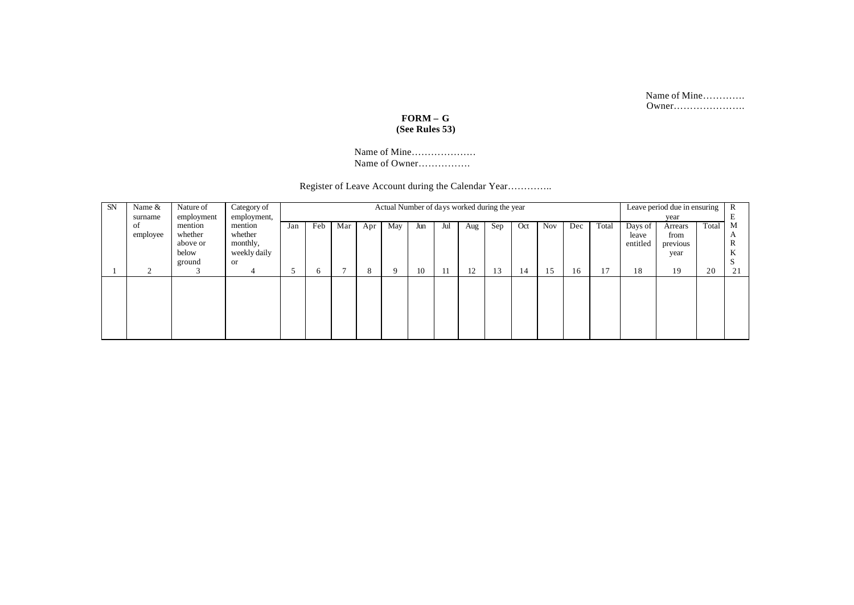Name of Mine…………. Owner………………….

# **FORM – G (See Rules 53)**

Name of Mine……………….. Name of Owner…………….

Register of Leave Account during the Calendar Year…………..

| <b>SN</b> | Name &<br>surname | Nature of<br>employment                           | Category of<br>employment,                                  |     |     |     |     | Actual Number of days worked during the year |     |     |     |     |     |            |     |       |                              | Leave period due in ensuring<br>year |       | $\mathbb{R}$     |
|-----------|-------------------|---------------------------------------------------|-------------------------------------------------------------|-----|-----|-----|-----|----------------------------------------------|-----|-----|-----|-----|-----|------------|-----|-------|------------------------------|--------------------------------------|-------|------------------|
|           | οt<br>employee    | mention<br>whether<br>above or<br>below<br>ground | mention<br>whether<br>monthly,<br>weekly daily<br><b>or</b> | Jan | Feb | Mar | Apr | May                                          | Jun | Jul | Aug | Sep | Oct | <b>Nov</b> | Dec | Total | Days of<br>leave<br>entitled | Arrears<br>from<br>previous<br>year  | Total | М<br>A<br>A<br>A |
|           |                   |                                                   |                                                             |     | O   |     | ŏ   |                                              | 10  |     | 12  | 13  | 14  | 15         | 16  | 17    | 18                           | 19                                   | 20    | 21               |
|           |                   |                                                   |                                                             |     |     |     |     |                                              |     |     |     |     |     |            |     |       |                              |                                      |       |                  |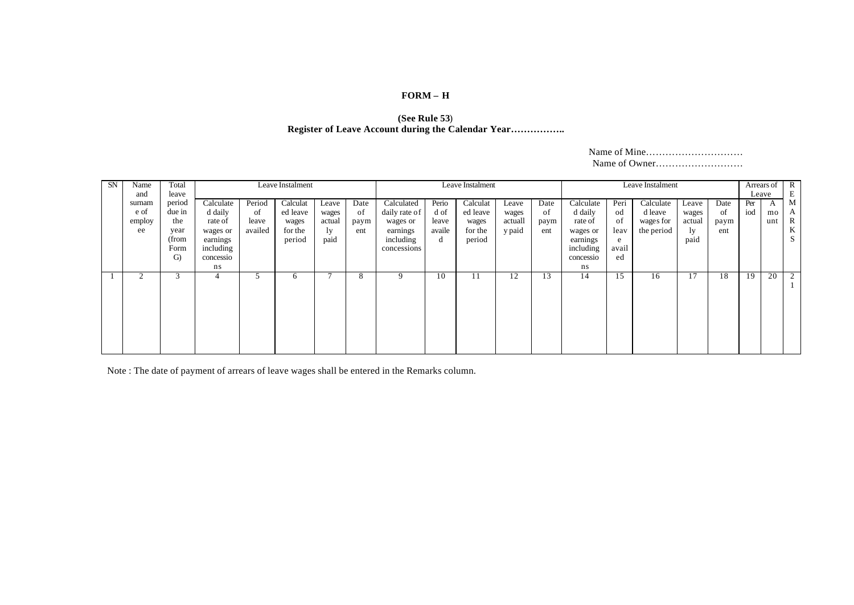# **FORM – H**

#### **(See Rule 53**) **Register of Leave Account during the Calendar Year……………..**

| <b>SN</b> | Name<br>and                    | Total<br>leave                                         |                                                                                   |                                  | Leave Instalment                                   |                                        |                           |                                                                                 |                                       | Leave Instalment                                   |                                     |                           |                                                                                   |                                              | Leave Instalment                                |                                        |                           |            | Arrears of R<br>Leave     | E                     |
|-----------|--------------------------------|--------------------------------------------------------|-----------------------------------------------------------------------------------|----------------------------------|----------------------------------------------------|----------------------------------------|---------------------------|---------------------------------------------------------------------------------|---------------------------------------|----------------------------------------------------|-------------------------------------|---------------------------|-----------------------------------------------------------------------------------|----------------------------------------------|-------------------------------------------------|----------------------------------------|---------------------------|------------|---------------------------|-----------------------|
|           | surnam<br>e of<br>employ<br>ee | period<br>due in<br>the<br>year<br>(from<br>Form<br>G) | Calculate<br>d daily<br>rate of<br>wages or<br>earnings<br>including<br>concessio | Period<br>of<br>leave<br>availed | Calculat<br>ed leave<br>wages<br>for the<br>period | Leave<br>wages<br>actual<br>ly<br>paid | Date<br>of<br>paym<br>ent | Calculated<br>daily rate of<br>wages or<br>earnings<br>including<br>concessions | Perio<br>d of<br>leave<br>availe<br>d | Calculat<br>ed leave<br>wages<br>for the<br>period | Leave<br>wages<br>actuall<br>y paid | Date<br>of<br>paym<br>ent | Calculate<br>d daily<br>rate of<br>wages or<br>earnings<br>including<br>concessio | Peri<br>od<br>of<br>leav<br>e<br>avail<br>ed | Calculate<br>d leave<br>wages for<br>the period | Leave<br>wages<br>actual<br>1y<br>paid | Date<br>of<br>paym<br>ent | Per<br>iod | $\mathbf{A}$<br>mo<br>unt | M<br>A<br>R<br>K<br>S |
|           | $\overline{c}$                 | 3                                                      | ns<br>4                                                                           | C                                | 6                                                  |                                        | 8                         | 9                                                                               | 10                                    | 11                                                 | 12                                  | 13                        | ns<br>14                                                                          | 15                                           | 16                                              | 17                                     | 18                        | 19         | 20                        | 2                     |

Note : The date of payment of arrears of leave wages shall be entered in the Remarks column.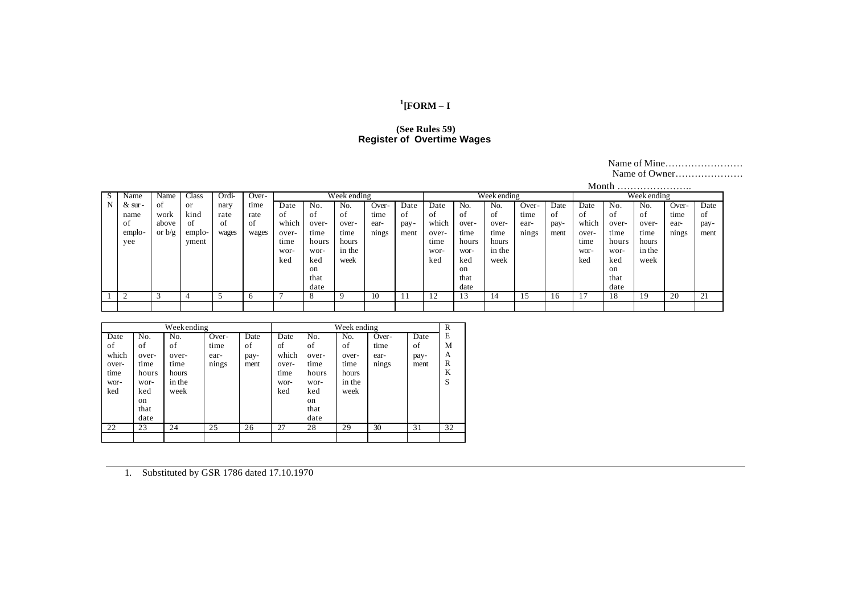# **1 [FORM – I**

#### **(See Rules 59) Register of Overtime Wages**

### Name of Mine…………………… Name of Owner…………………

|    |            |          |                |       |       |       |       |             |       |      |       |       |             |       |      | Month |               |             |       |      |
|----|------------|----------|----------------|-------|-------|-------|-------|-------------|-------|------|-------|-------|-------------|-------|------|-------|---------------|-------------|-------|------|
| S. | Name       | Name     | Class          | Ordi- | Over- |       |       | Week ending |       |      |       |       | Week ending |       |      |       |               | Week ending |       |      |
| N  | $\&$ sur - | ot       | or             | nary  | time  | Date  | No.   | No.         | Over- | Date | Date  | No.   | No.         | Over- | Date | Date  | No.           | No.         | Over- | Date |
|    | name       | work     | kind           | rate  | rate  | ΩŤ    | ΩŤ    | ΩŤ          | time  | οt   | ΩŤ    | οf    | 0Ť          | time  | οt   | 0t    | ΩŤ            | ΩŤ          | time  | οt   |
|    | ΩŤ         | above    | ΩŤ             | -of   | -of   | which | over- | over-       | ear-  | pay- | which | over- | over-       | ear-  | pay- | which | over-         | over-       | ear-  | pay- |
|    | emplo-     | or $b/g$ | emplo-         | wages | wages | over- | time  | time        | nings | ment | over- | time  | time        | nings | ment | over- | time          | time        | nings | ment |
|    | vee        |          | yment          |       |       | time  | hours | hours       |       |      | time  | hours | hours       |       |      | time  | hours         | hours       |       |      |
|    |            |          |                |       |       | wor-  | wor-  | in the      |       |      | wor-  | wor-  | in the      |       |      | wor-  | wor-          | in the      |       |      |
|    |            |          |                |       |       | ked   | ked   | week        |       |      | ked   | ked   | week        |       |      | ked   | ked           | week        |       |      |
|    |            |          |                |       |       |       | on    |             |       |      |       | on    |             |       |      |       | <sub>on</sub> |             |       |      |
|    |            |          |                |       |       |       | that  |             |       |      |       | that  |             |       |      |       | that          |             |       |      |
|    |            |          |                |       |       |       | date  |             |       |      |       | date  |             |       |      |       | date          |             |       |      |
|    |            |          | $\overline{4}$ |       |       |       |       | q           | 10    |      |       | 13    | 14          |       | 16   |       | 18            | 19          | 20    | 21   |
|    |            |          |                |       |       |       |       |             |       |      |       |       |             |       |      |       |               |             |       |      |

|                                                     |                                                                          | Weekending                                            |                                |                            |                                                     |                                                                          | Week ending                                           |                                |                            | R                          |
|-----------------------------------------------------|--------------------------------------------------------------------------|-------------------------------------------------------|--------------------------------|----------------------------|-----------------------------------------------------|--------------------------------------------------------------------------|-------------------------------------------------------|--------------------------------|----------------------------|----------------------------|
| Date<br>of<br>which<br>over-<br>time<br>wor-<br>ked | No.<br>of<br>over-<br>time<br>hours<br>wor-<br>ked<br>on<br>that<br>date | No.<br>of<br>over-<br>time<br>hours<br>in the<br>week | Over-<br>time<br>ear-<br>nings | Date<br>of<br>pay-<br>ment | Date<br>of<br>which<br>over-<br>time<br>wor-<br>ked | No.<br>of<br>over-<br>time<br>hours<br>wor-<br>ked<br>on<br>that<br>date | No.<br>of<br>over-<br>time<br>hours<br>in the<br>week | Over-<br>time<br>ear-<br>nings | Date<br>of<br>pay-<br>ment | E<br>М<br>А<br>R<br>K<br>S |
| 22                                                  | 23                                                                       | 24                                                    | 25                             | 26                         | 27                                                  | 28                                                                       | 29                                                    | 30                             | 31                         | 32                         |
|                                                     |                                                                          |                                                       |                                |                            |                                                     |                                                                          |                                                       |                                |                            |                            |

1. Substituted by GSR 1786 dated 17.10.1970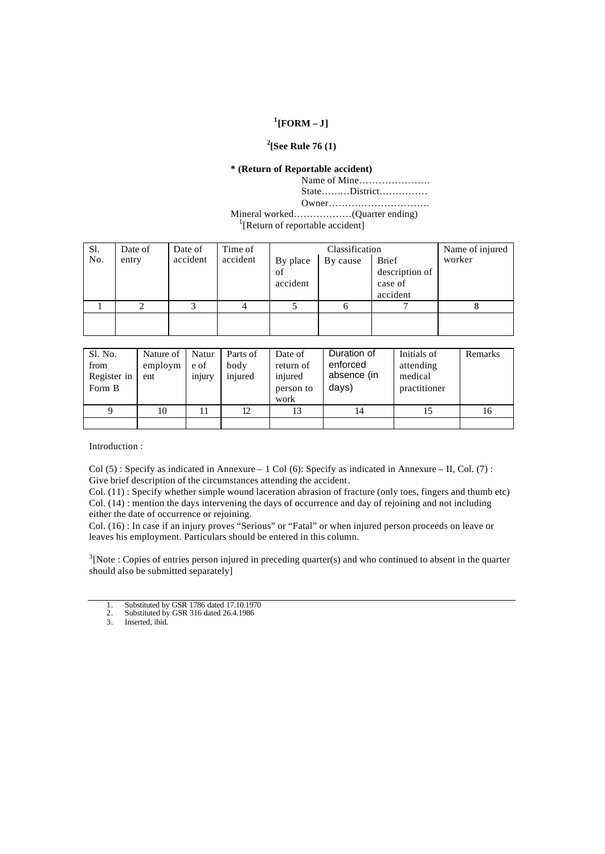# **1 [FORM – J]**

# **2 [See Rule 76 (1)**

## **\* (Return of Reportable accident)**

Name of Mine…………………. State………District……………

Owner………………………….

Mineral worked………………(Quarter ending)

<sup>1</sup>[Return of reportable accident]

| Sl. | Date of | Date of  | Time of  |          | Classification |                | Name of injured |
|-----|---------|----------|----------|----------|----------------|----------------|-----------------|
| No. | entry   | accident | accident | By place | By cause       | <b>Brief</b>   | worker          |
|     |         |          |          | of       |                | description of |                 |
|     |         |          |          | accident |                | case of        |                 |
|     |         |          |          |          |                | accident       |                 |
|     |         |          |          |          |                |                | ∩               |
|     |         |          |          |          |                |                |                 |
|     |         |          |          |          |                |                |                 |

| Sl. No.<br>from<br>Register in<br>Form B | Nature of<br>employm<br>ent | Natur<br>e of<br>injury | Parts of<br>body<br>injured | Date of<br>return of<br>injured<br>person to<br>work | Duration of<br>enforced<br>absence (in<br>days) | Initials of<br>attending<br>medical<br>practitioner | Remarks |
|------------------------------------------|-----------------------------|-------------------------|-----------------------------|------------------------------------------------------|-------------------------------------------------|-----------------------------------------------------|---------|
| 9                                        | 10                          |                         | 12                          | 13                                                   | 14                                              |                                                     | 16      |
|                                          |                             |                         |                             |                                                      |                                                 |                                                     |         |

Introduction :

Col (5): Specify as indicated in Annexure – 1 Col (6): Specify as indicated in Annexure – II, Col. (7): Give brief description of the circumstances attending the accident.

Col. (11) : Specify whether simple wound laceration abrasion of fracture (only toes, fingers and thumb etc) Col. (14) : mention the days intervening the days of occurrence and day of rejoining and not including either the date of occurrence or rejoining.

Col. (16) : In case if an injury proves "Serious" or "Fatal" or when injured person proceeds on leave or leaves his employment. Particulars should be entered in this column.

 $3$ [Note : Copies of entries person injured in preceding quarter(s) and who continued to absent in the quarter should also be submitted separately]

- 1. Substituted by GSR 1786 dated 17.10.1970
- 2. Substituted by GSR 316 dated 26.4.1986
- 3. Inserted, ibid.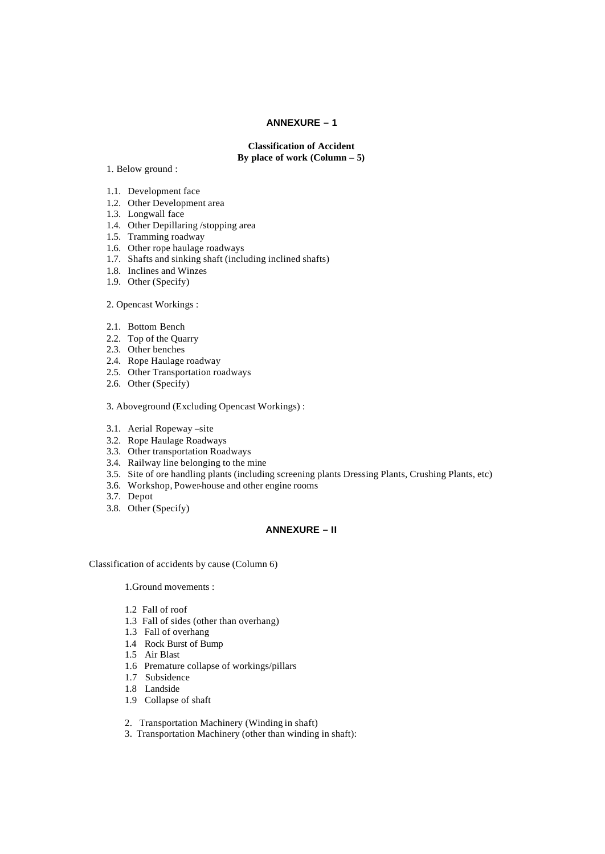### **ANNEXURE – 1**

**Classification of Accident By place of work (Column – 5)**

1. Below ground :

- 1.1. Development face
- 1.2. Other Development area
- 1.3. Longwall face
- 1.4. Other Depillaring /stopping area
- 1.5. Tramming roadway
- 1.6. Other rope haulage roadways
- 1.7. Shafts and sinking shaft (including inclined shafts)
- 1.8. Inclines and Winzes
- 1.9. Other (Specify)

2. Opencast Workings :

- 2.1. Bottom Bench
- 2.2. Top of the Quarry
- 2.3. Other benches
- 2.4. Rope Haulage roadway
- 2.5. Other Transportation roadways
- 2.6. Other (Specify)

3. Aboveground (Excluding Opencast Workings) :

- 3.1. Aerial Ropeway –site
- 3.2. Rope Haulage Roadways
- 3.3. Other transportation Roadways
- 3.4. Railway line belonging to the mine
- 3.5. Site of ore handling plants (including screening plants Dressing Plants, Crushing Plants, etc)
- 3.6. Workshop, Power-house and other engine rooms
- 3.7. Depot
- 3.8. Other (Specify)

## **ANNEXURE – II**

Classification of accidents by cause (Column 6)

1.Ground movements :

- 1.2 Fall of roof
- 1.3 Fall of sides (other than overhang)
- 1.3 Fall of overhang
- 1.4 Rock Burst of Bump
- 1.5 Air Blast
- 1.6 Premature collapse of workings/pillars
- 1.7 Subsidence
- 1.8 Landside
- 1.9 Collapse of shaft
- 2. Transportation Machinery (Winding in shaft)
- 3. Transportation Machinery (other than winding in shaft):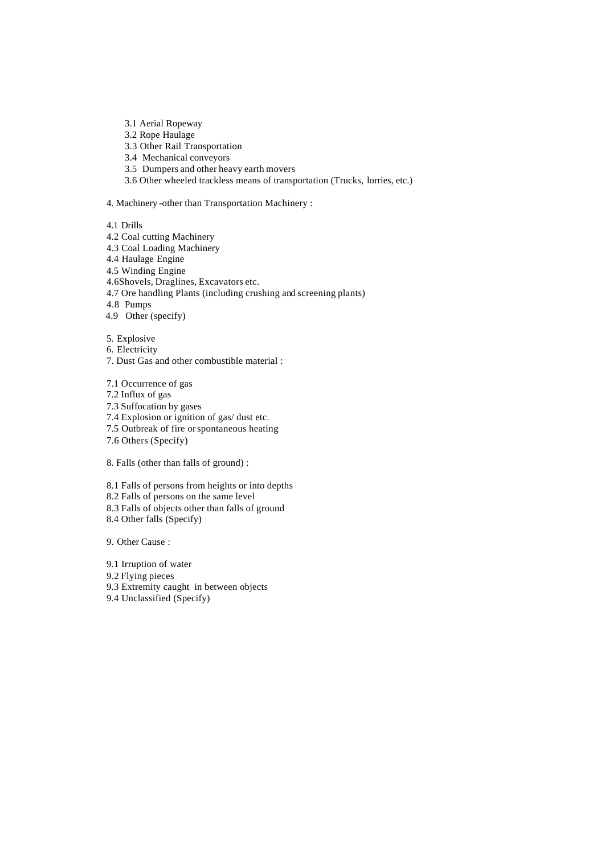- 3.1 Aerial Ropeway
- 3.2 Rope Haulage
- 3.3 Other Rail Transportation
- 3.4 Mechanical conveyors
- 3.5 Dumpers and other heavy earth movers
- 3.6 Other wheeled trackless means of transportation (Trucks, lorries, etc.)

4. Machinery -other than Transportation Machinery :

- 4.1 Drills
- 4.2 Coal cutting Machinery
- 4.3 Coal Loading Machinery
- 4.4 Haulage Engine
- 4.5 Winding Engine
- 4.6Shovels, Draglines, Excavators etc.
- 4.7 Ore handling Plants (including crushing and screening plants)
- 4.8 Pumps
- 4.9 Other (specify)
- 5. Explosive
- 6. Electricity
- 7. Dust Gas and other combustible material :

7.1 Occurrence of gas

- 7.2 Influx of gas
- 7.3 Suffocation by gases
- 7.4 Explosion or ignition of gas/ dust etc.
- 7.5 Outbreak of fire or spontaneous heating
- 7.6 Others (Specify)

8. Falls (other than falls of ground) :

- 8.1 Falls of persons from heights or into depths
- 8.2 Falls of persons on the same level
- 8.3 Falls of objects other than falls of ground
- 8.4 Other falls (Specify)

9. Other Cause :

- 9.1 Irruption of water
- 9.2 Flying pieces
- 9.3 Extremity caught in between objects
- 9.4 Unclassified (Specify)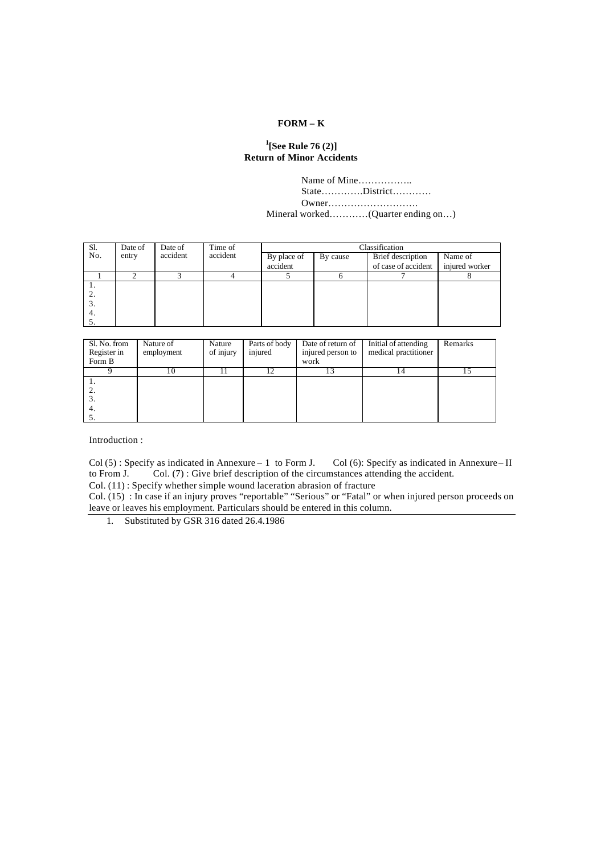# **FORM – K**

# **1 [See Rule 76 (2)] Return of Minor Accidents**

Name of Mine…………….. State………….District………… Owner……………………….

Mineral worked…………(Quarter ending on…)

| Sl. | Date of | Date of  | Time of  | Classification |          |                     |                |
|-----|---------|----------|----------|----------------|----------|---------------------|----------------|
| No. | entry   | accident | accident | By place of    | By cause | Brief description   | Name of        |
|     |         |          |          | accident       |          | of case of accident | injured worker |
|     |         |          | 4        |                |          |                     |                |
| . . |         |          |          |                |          |                     |                |
| ٠.  |         |          |          |                |          |                     |                |
| э.  |         |          |          |                |          |                     |                |
| 4.  |         |          |          |                |          |                     |                |
|     |         |          |          |                |          |                     |                |

| Sl. No. from<br>Register in<br>Form B | Nature of<br>employment | Nature<br>of injury | Parts of body<br>injured | Date of return of<br>injured person to<br>work | Initial of attending<br>medical practitioner | Remarks |
|---------------------------------------|-------------------------|---------------------|--------------------------|------------------------------------------------|----------------------------------------------|---------|
|                                       | 10                      |                     |                          |                                                |                                              |         |
| -4.                                   |                         |                     |                          |                                                |                                              |         |

Introduction :

 $Col(5)$ : Specify as indicated in Annexure – 1 to Form J. Col (6): Specify as indicated in Annexure – II to From J. Col. (7): Give brief description of the circumstances attending the accident. Col.  $(7)$ : Give brief description of the circumstances attending the accident.

Col. (11) : Specify whether simple wound laceration abrasion of fracture

Col. (15) : In case if an injury proves "reportable" "Serious" or "Fatal" or when injured person proceeds on leave or leaves his employment. Particulars should be entered in this column.

1. Substituted by GSR 316 dated 26.4.1986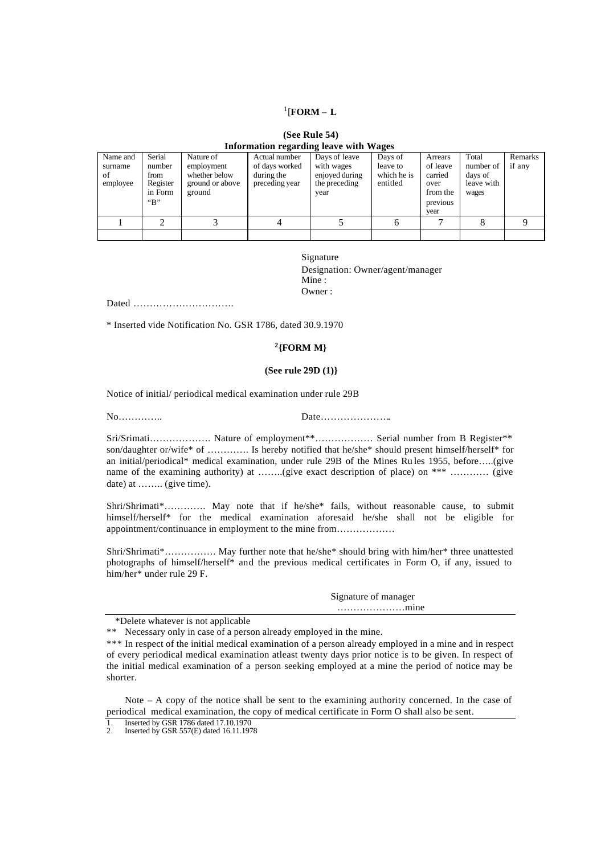# 1 [**FORM – L**

| (See Rule 54)                          |  |
|----------------------------------------|--|
| Information regarding leave with Wages |  |

| Name and | Serial       | Nature of       | Actual number  | Days of leave  | Days of                 | Arrears  | Total                 | Remarks |
|----------|--------------|-----------------|----------------|----------------|-------------------------|----------|-----------------------|---------|
| surname  | number       | employment      | of days worked | with wages     | leave to                | of leave | number of             | if any  |
| οf       | from         | whether below   | during the     | enjoyed during | which he is<br>entitled | carried  | days of<br>leave with |         |
| employee | Register     | ground or above | preceding year | the preceding  |                         | over     |                       |         |
|          | in Form      | ground          |                | year           |                         | from the | wages                 |         |
|          | $\mathbf{B}$ |                 |                |                |                         | previous |                       |         |
|          |              |                 |                |                |                         | vear     |                       |         |
|          |              |                 |                |                |                         |          |                       |         |
|          |              |                 |                |                |                         |          |                       |         |

Signature Designation: Owner/agent/manager Mine : Owner :

Dated ………………………….

\* Inserted vide Notification No. GSR 1786, dated 30.9.1970

## **2 {FORM M}**

#### **(See rule 29D (1)}**

Notice of initial/ periodical medical examination under rule 29B

No………….. Date………………….

Sri/Srimati………………. Nature of employment\*\*……………… Serial number from B Register\*\* son/daughter or/wife\* of …………. Is hereby notified that he/she\* should present himself/herself\* for an initial/periodical\* medical examination, under rule 29B of the Mines Ru les 1955, before…..(give name of the examining authority) at ……..(give exact description of place) on \*\*\* ………… (give date) at ........ (give time).

Shri/Shrimati\*…………. May note that if he/she\* fails, without reasonable cause, to submit himself/herself\* for the medical examination aforesaid he/she shall not be eligible for appointment/continuance in employment to the mine from………………

Shri/Shrimati\*……………. May further note that he/she\* should bring with him/her\* three unattested photographs of himself/herself\* and the previous medical certificates in Form O, if any, issued to him/her\* under rule 29 F.

| Signature of manager                  |  |
|---------------------------------------|--|
| $\dots\dots\dots\dots\dots\dots\dots$ |  |

\*Delete whatever is not applicable

\*\* Necessary only in case of a person already employed in the mine.

\*\*\* In respect of the initial medical examination of a person already employed in a mine and in respect of every periodical medical examination atleast twenty days prior notice is to be given. In respect of the initial medical examination of a person seeking employed at a mine the period of notice may be shorter.

Note – A copy of the notice shall be sent to the examining authority concerned. In the case of periodical medical examination, the copy of medical certificate in Form O shall also be sent.

1. Inserted by GSR 1786 dated 17.10.1970

2. Inserted by GSR 557(E) dated 16.11.1978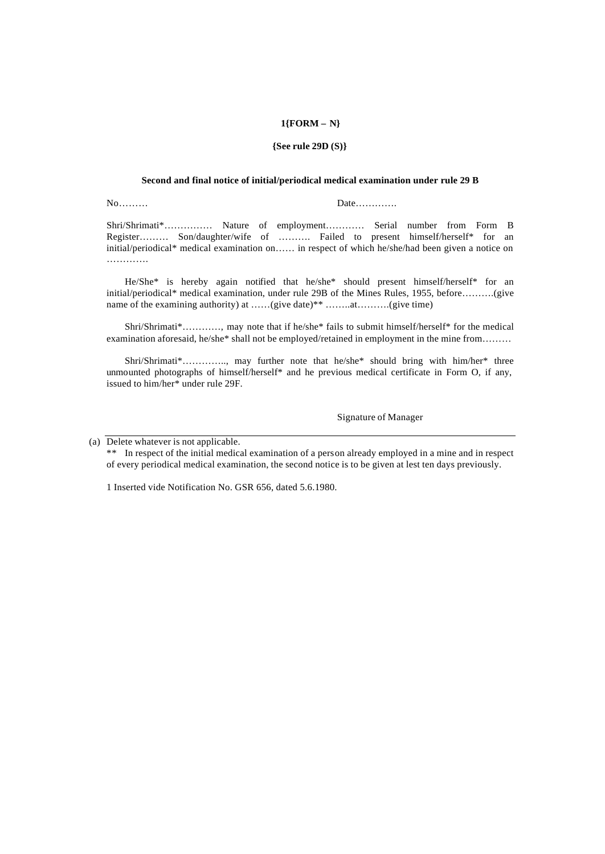### **1{FORM – N}**

#### **{See rule 29D (S)}**

#### **Second and final notice of initial/periodical medical examination under rule 29 B**

No……… Date………….

Shri/Shrimati\*…………… Nature of employment………… Serial number from Form B Register……… Son/daughter/wife of ………. Failed to present himself/herself\* for an initial/periodical\* medical examination on…… in respect of which he/she/had been given a notice on ……………

He/She\* is hereby again notified that he/she\* should present himself/herself\* for an initial/periodical\* medical examination, under rule 29B of the Mines Rules, 1955, before……….(give name of the examining authority) at ......(give date)\*\* ........at.........(give time)

Shri/Shrimati\*…………, may note that if he/she\* fails to submit himself/herself\* for the medical examination aforesaid, he/she\* shall not be employed/retained in employment in the mine from………

Shri/Shrimati\*………….., may further note that he/she\* should bring with him/her\* three unmounted photographs of himself/herself\* and he previous medical certificate in Form O, if any, issued to him/her\* under rule 29F.

Signature of Manager

(a) Delete whatever is not applicable.

\*\* In respect of the initial medical examination of a person already employed in a mine and in respect of every periodical medical examination, the second notice is to be given at lest ten days previously.

1 Inserted vide Notification No. GSR 656, dated 5.6.1980.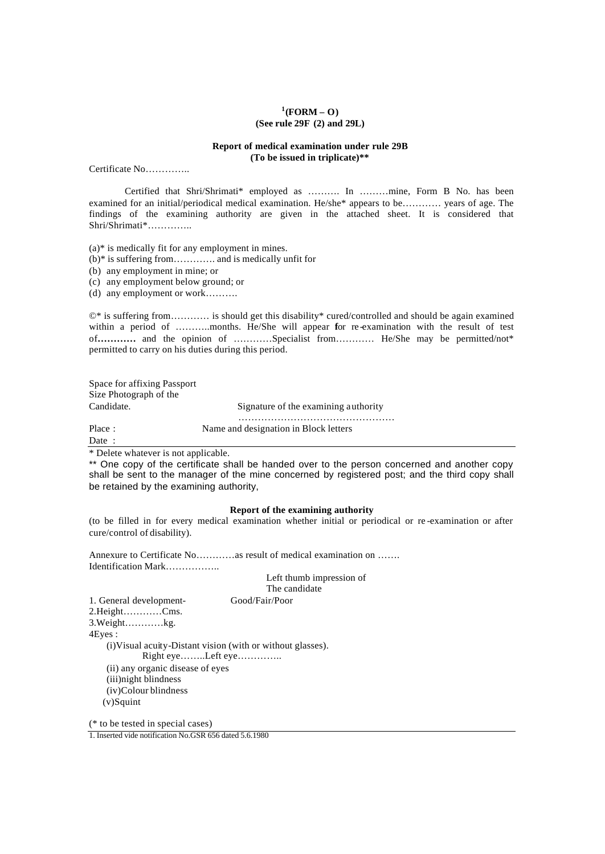### **1 (FORM – O) (See rule 29F (2) and 29L)**

#### **Report of medical examination under rule 29B (To be issued in triplicate)\*\***

Certificate No…………..

Certified that Shri/Shrimati\* employed as ………. In ………mine, Form B No. has been examined for an initial/periodical medical examination. He/she\* appears to be………… years of age. The findings of the examining authority are given in the attached sheet. It is considered that Shri/Shrimati\*…………..

(a)\* is medically fit for any employment in mines.

(b)\* is suffering from…………. and is medically unfit for

(b) any employment in mine; or

(c) any employment below ground; or

(d) any employment or work……….

©\* is suffering from………… is should get this disability\* cured/controlled and should be again examined within a period of ………..months. He/She will appear **f**or re -examination with the result of test of**…………** and the opinion of …………Specialist from………… He/She may be permitted/not\* permitted to carry on his duties during this period.

Space for affixing Passport Size Photograph of the Candidate. Signature of the examining authority ………………………………………… Place : Name and designation in Block letters

Date :

\* Delete whatever is not applicable.

\*\* One copy of the certificate shall be handed over to the person concerned and another copy shall be sent to the manager of the mine concerned by registered post; and the third copy shall be retained by the examining authority,

#### **Report of the examining authority**

(to be filled in for every medical examination whether initial or periodical or re -examination or after cure/control of disability).

Annexure to Certificate No…………as result of medical examination on ……. Identification Mark……………..

# Left thumb impression of

The candidate

1. General development- Good/Fair/Poor 2.Height…………Cms. 3.Weight…………kg. 4Eyes : (i)Visual acuity-Distant vision (with or without glasses). Right eye……..Left eye………….. (ii) any organic disease of eyes (iii)night blindness (iv)Colour blindness (v)Squint

(\* to be tested in special cases)

1. Inserted vide notification No.GSR 656 dated 5.6.1980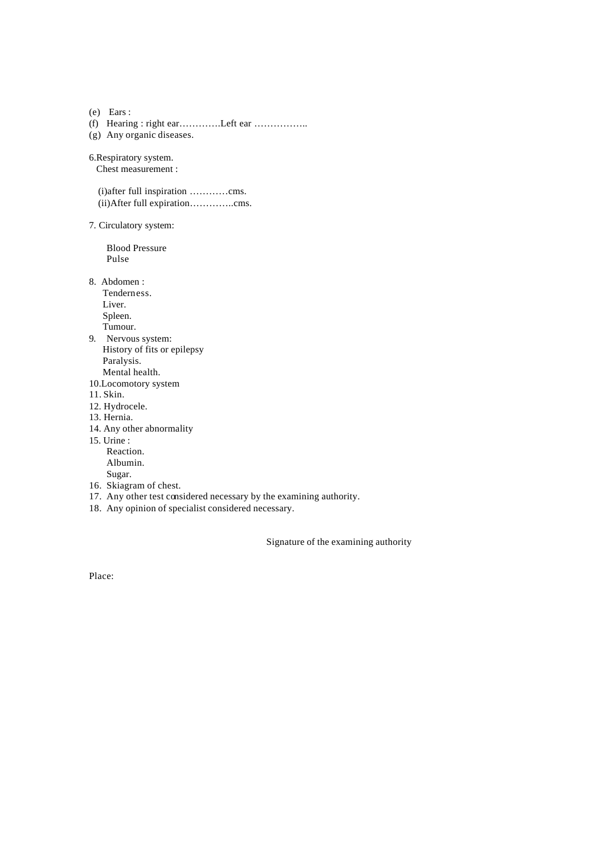(e) Ears : (f) Hearing : right ear………….Left ear …………….. (g) Any organic diseases.

6.Respiratory system. Chest measurement :

(i)after full inspiration …………cms. (ii)After full expiration…………..cms.

7. Circulatory system:

Blood Pressure Pulse

8. Abdomen :

Tenderness. Liver. Spleen. Tumour.

9. Nervous system: History of fits or epilepsy Paralysis. Mental health.

- 10.Locomotory system
- 11. Skin.
- 12. Hydrocele.
- 13. Hernia.
- 14. Any other abnormality

15. Urine : Reaction.

Albumin. Sugar.

- 16. Skiagram of chest.
- 17. Any other test considered necessary by the examining authority.
- 18. Any opinion of specialist considered necessary.

Signature of the examining authority

Place: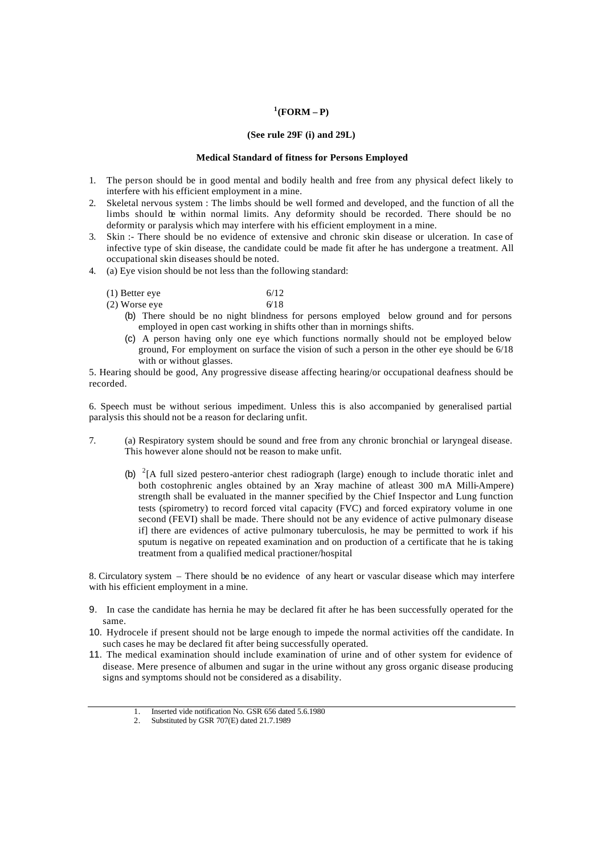### **1 (FORM – P)**

### **(See rule 29F (i) and 29L)**

#### **Medical Standard of fitness for Persons Employed**

- 1. The person should be in good mental and bodily health and free from any physical defect likely to interfere with his efficient employment in a mine.
- 2. Skeletal nervous system : The limbs should be well formed and developed, and the function of all the limbs should be within normal limits. Any deformity should be recorded. There should be no deformity or paralysis which may interfere with his efficient employment in a mine.
- 3. Skin :- There should be no evidence of extensive and chronic skin disease or ulceration. In case of infective type of skin disease, the candidate could be made fit after he has undergone a treatment. All occupational skin diseases should be noted.
- 4. (a) Eye vision should be not less than the following standard:
	- (1) Better eye  $6/12$
	- (2) Worse eye  $6/18$ 
		- (b) There should be no night blindness for persons employed below ground and for persons employed in open cast working in shifts other than in mornings shifts.
		- (c) A person having only one eye which functions normally should not be employed below ground, For employment on surface the vision of such a person in the other eye should be 6/18 with or without glasses.

5. Hearing should be good, Any progressive disease affecting hearing/or occupational deafness should be recorded.

6. Speech must be without serious impediment. Unless this is also accompanied by generalised partial paralysis this should not be a reason for declaring unfit.

- 7. (a) Respiratory system should be sound and free from any chronic bronchial or laryngeal disease. This however alone should not be reason to make unfit.
	- (b)  ${}^{2}$ [A full sized pestero-anterior chest radiograph (large) enough to include thoratic inlet and both costophrenic angles obtained by an Xray machine of atleast 300 mA Milli-Ampere) strength shall be evaluated in the manner specified by the Chief Inspector and Lung function tests (spirometry) to record forced vital capacity (FVC) and forced expiratory volume in one second (FEVI) shall be made. There should not be any evidence of active pulmonary disease if] there are evidences of active pulmonary tuberculosis, he may be permitted to work if his sputum is negative on repeated examination and on production of a certificate that he is taking treatment from a qualified medical practioner/hospital

8. Circulatory system – There should be no evidence of any heart or vascular disease which may interfere with his efficient employment in a mine.

- 9. In case the candidate has hernia he may be declared fit after he has been successfully operated for the same.
- 10. Hydrocele if present should not be large enough to impede the normal activities off the candidate. In such cases he may be declared fit after being successfully operated.
- 11. The medical examination should include examination of urine and of other system for evidence of disease. Mere presence of albumen and sugar in the urine without any gross organic disease producing signs and symptoms should not be considered as a disability.
	- 1. Inserted vide notification No. GSR 656 dated 5.6.1980<br>2. Substituted by GSR 707(E) dated 21.7 1989

<sup>2.</sup> Substituted by GSR 707(E) dated 21.7.1989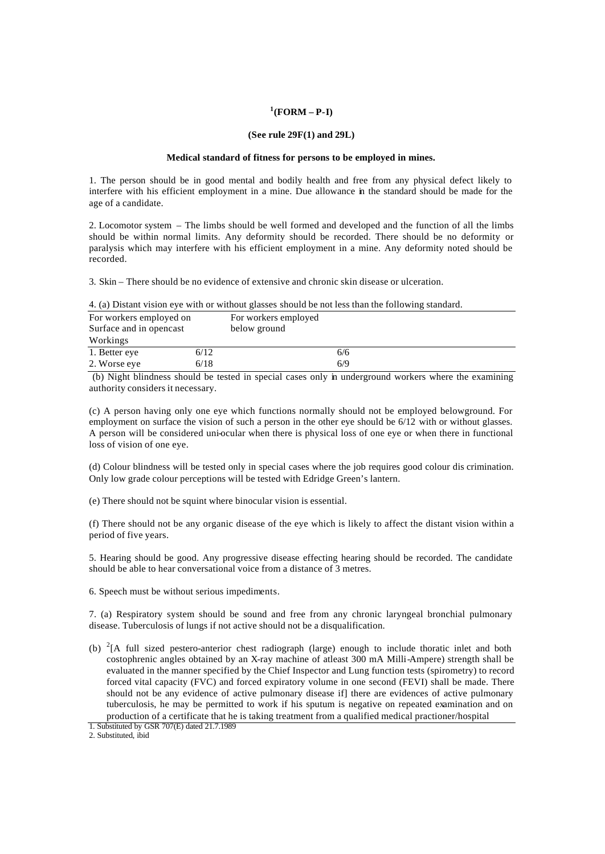#### **1 (FORM – P-I)**

#### **(See rule 29F(1) and 29L)**

#### **Medical standard of fitness for persons to be employed in mines.**

1. The person should be in good mental and bodily health and free from any physical defect likely to interfere with his efficient employment in a mine. Due allowance in the standard should be made for the age of a candidate.

2. Locomotor system – The limbs should be well formed and developed and the function of all the limbs should be within normal limits. Any deformity should be recorded. There should be no deformity or paralysis which may interfere with his efficient employment in a mine. Any deformity noted should be recorded.

3. Skin – There should be no evidence of extensive and chronic skin disease or ulceration.

|                                                    |      | 4. (a) Distant vision eye with of without glasses should be not less than the following standard. |  |
|----------------------------------------------------|------|---------------------------------------------------------------------------------------------------|--|
| For workers employed on<br>Surface and in opencast |      | For workers employed<br>below ground                                                              |  |
| Workings                                           |      |                                                                                                   |  |
| 1. Better eye                                      | 6/12 | 6/6                                                                                               |  |
| 2. Worse eye                                       | 6/18 | 6/9                                                                                               |  |

4. (a) Distant vision eye with or without glasses should be not less than the following standard.

 (b) Night blindness should be tested in special cases only in underground workers where the examining authority considers it necessary.

(c) A person having only one eye which functions normally should not be employed belowground. For employment on surface the vision of such a person in the other eye should be 6/12 with or without glasses. A person will be considered uni-ocular when there is physical loss of one eye or when there in functional loss of vision of one eye.

(d) Colour blindness will be tested only in special cases where the job requires good colour dis crimination. Only low grade colour perceptions will be tested with Edridge Green's lantern.

(e) There should not be squint where binocular vision is essential.

(f) There should not be any organic disease of the eye which is likely to affect the distant vision within a period of five years.

5. Hearing should be good. Any progressive disease effecting hearing should be recorded. The candidate should be able to hear conversational voice from a distance of 3 metres.

6. Speech must be without serious impediments.

7. (a) Respiratory system should be sound and free from any chronic laryngeal bronchial pulmonary disease. Tuberculosis of lungs if not active should not be a disqualification.

(b)  ${}^{2}$ [A full sized pestero-anterior chest radiograph (large) enough to include thoratic inlet and both costophrenic angles obtained by an X-ray machine of atleast 300 mA Milli-Ampere) strength shall be evaluated in the manner specified by the Chief Inspector and Lung function tests (spirometry) to record forced vital capacity (FVC) and forced expiratory volume in one second (FEVI) shall be made. There should not be any evidence of active pulmonary disease if] there are evidences of active pulmonary tuberculosis, he may be permitted to work if his sputum is negative on repeated examination and on production of a certificate that he is taking treatment from a qualified medical practioner/hospital

2. Substituted, ibid

<sup>1.</sup> Substituted by GSR 707(E) dated 21.7.1989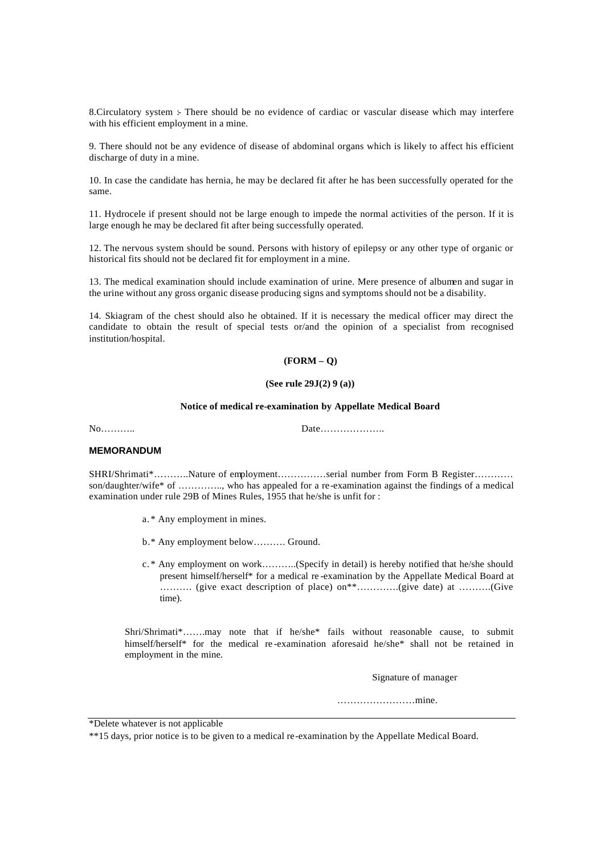8.Circulatory system :- There should be no evidence of cardiac or vascular disease which may interfere with his efficient employment in a mine.

9. There should not be any evidence of disease of abdominal organs which is likely to affect his efficient discharge of duty in a mine.

10. In case the candidate has hernia, he may be declared fit after he has been successfully operated for the same.

11. Hydrocele if present should not be large enough to impede the normal activities of the person. If it is large enough he may be declared fit after being successfully operated.

12. The nervous system should be sound. Persons with history of epilepsy or any other type of organic or historical fits should not be declared fit for employment in a mine.

13. The medical examination should include examination of urine. Mere presence of albumen and sugar in the urine without any gross organic disease producing signs and symptoms should not be a disability.

14. Skiagram of the chest should also he obtained. If it is necessary the medical officer may direct the candidate to obtain the result of special tests or/and the opinion of a specialist from recognised institution/hospital.

# **(FORM – Q)**

#### **(See rule 29J(2) 9 (a))**

#### **Notice of medical re-examination by Appellate Medical Board**

No……….. Date………………..

### **MEMORANDUM**

SHRI/Shrimati\*………..Nature of employment……………serial number from Form B Register………… son/daughter/wife\* of ………….., who has appealed for a re-examination against the findings of a medical examination under rule 29B of Mines Rules, 1955 that he/she is unfit for :

- a. \* Any employment in mines.
- b.\* Any employment below………. Ground.
- c. \* Any employment on work………..(Specify in detail) is hereby notified that he/she should present himself/herself\* for a medical re -examination by the Appellate Medical Board at ………. (give exact description of place) on\*\*………….(give date) at ……….(Give time).

Shri/Shrimati\*…….may note that if he/she\* fails without reasonable cause, to submit himself/herself\* for the medical re-examination aforesaid he/she\* shall not be retained in employment in the mine.

Signature of manager

……………………mine.

\*Delete whatever is not applicable

\*\*15 days, prior notice is to be given to a medical re-examination by the Appellate Medical Board.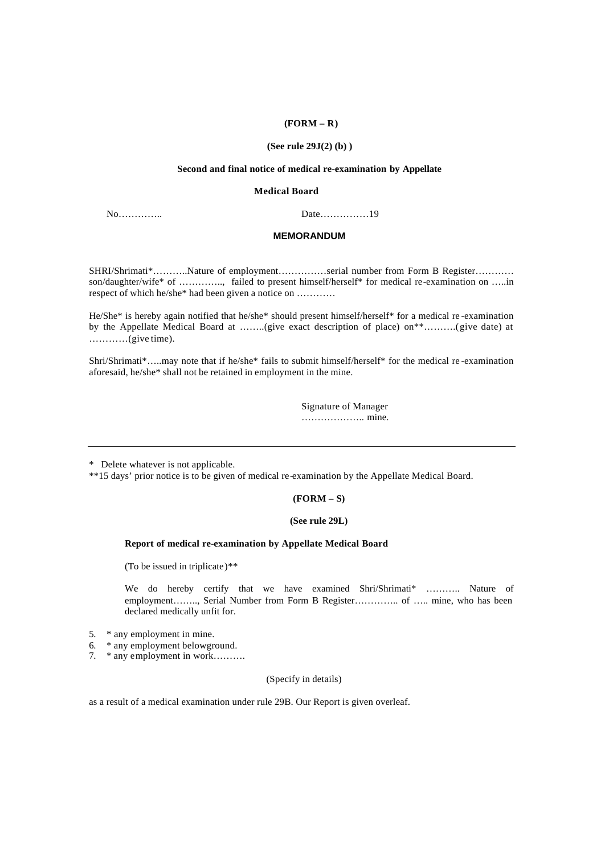### **(FORM – R)**

#### **(See rule 29J(2) (b) )**

#### **Second and final notice of medical re-examination by Appellate**

#### **Medical Board**

No………….. Date……………19

#### **MEMORANDUM**

SHRI/Shrimati\*………..Nature of employment……………serial number from Form B Register………… son/daughter/wife\* of ………….., failed to present himself/herself\* for medical re-examination on …..in respect of which he/she\* had been given a notice on …………

He/She\* is hereby again notified that he/she\* should present himself/herself\* for a medical re -examination by the Appellate Medical Board at ……..(give exact description of place) on\*\*……….(give date) at …………(give time).

Shri/Shrimati\*…..may note that if he/she\* fails to submit himself/herself\* for the medical re -examination aforesaid, he/she\* shall not be retained in employment in the mine.

> Signature of Manager ……………….. mine.

\* Delete whatever is not applicable.

\*\*15 days' prior notice is to be given of medical re-examination by the Appellate Medical Board.

# **(FORM – S)**

#### **(See rule 29L)**

#### **Report of medical re-examination by Appellate Medical Board**

(To be issued in triplicate)\*\*

We do hereby certify that we have examined Shri/Shrimati\* ……….. Nature of employment…….., Serial Number from Form B Register………….. of …… mine, who has been declared medically unfit for.

- 5. \* any employment in mine.
- 6. \* any employment belowground.
- 7. \* any employment in work……….

#### (Specify in details)

as a result of a medical examination under rule 29B. Our Report is given overleaf.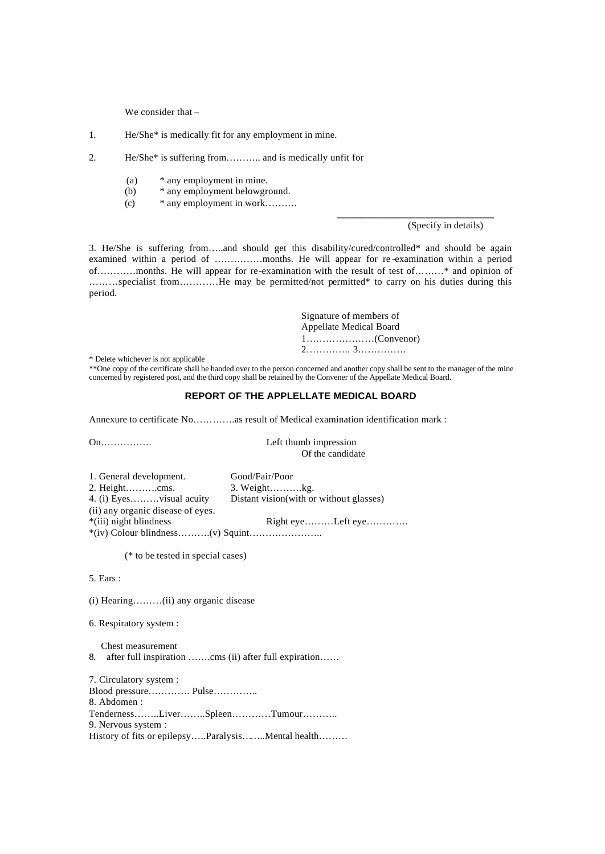We consider that –

1. He/She\* is medically fit for any employment in mine.

2. He/She\* is suffering from……….. and is medically unfit for

- (a) \* any employment in mine.
- (b) \* any employment belowground.
- (c) \* any employment in work……….

(Specify in details)

**\_\_\_\_\_\_\_\_\_\_\_\_\_\_\_\_\_\_\_\_\_\_\_\_\_\_\_\_\_\_\_\_**

3. He/She is suffering from…..and should get this disability/cured/controlled\* and should be again examined within a period of ……………months. He will appear for re -examination within a period of…………months. He will appear for re-examination with the result of test of………\* and opinion of ………specialist from…………He may be permitted/not permitted\* to carry on his duties during this period.

> Signature of members of Appellate Medical Board 1…………………(Convenor) 2………….. 3……………

\* Delete whichever is not applicable

\*\*One copy of the certificate shall be handed over to the person concerned and another copy shall be sent to the manager of the mine concerned by registered post, and the third copy shall be retained by the Convener of the Appellate Medical Board.

# **REPORT OF THE APPLELLATE MEDICAL BOARD**

Annexure to certificate No………….as result of Medical examination identification mark :

|                                   | serv manno mipression                    |  |  |  |
|-----------------------------------|------------------------------------------|--|--|--|
|                                   | Of the candidate                         |  |  |  |
| 1. General development.           | Good/Fair/Poor                           |  |  |  |
|                                   | $3. Weight$ $kg.$                        |  |  |  |
| 4. (i) Eyesvisual acuity          | Distant vision (with or without glasses) |  |  |  |
| (ii) any organic disease of eyes. |                                          |  |  |  |
| *(iii) night blindness            | Right $eye$ Left $eye$                   |  |  |  |
|                                   |                                          |  |  |  |
|                                   |                                          |  |  |  |

On **Left** thumb impression

(\* to be tested in special cases)

5. Ears :

(i) Hearing………(ii) any organic disease

6. Respiratory system :

 Chest measurement 8. after full inspiration ……..cms (ii) after full expiration……

7. Circulatory system : Blood pressure…………. Pulse………….. 8. Abdomen : Tenderness……..Liver……..Spleen…………Tumour……….. 9. Nervous system : History of fits or epilepsy…..Paralysis……..Mental health………